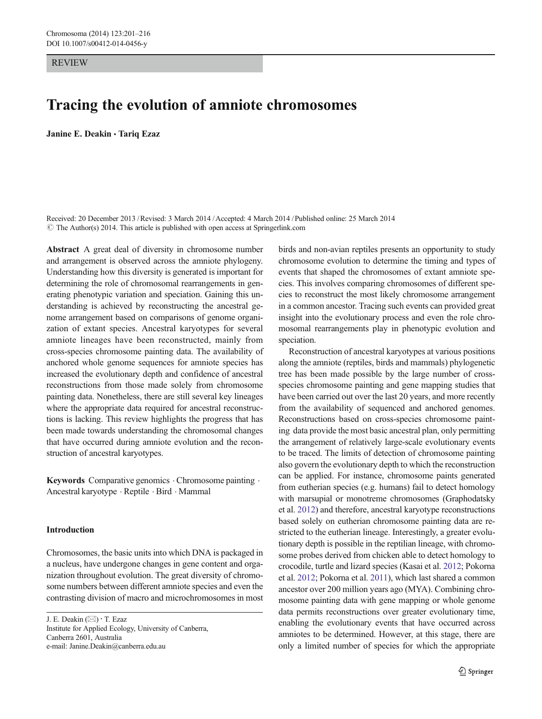REVIEW

# Tracing the evolution of amniote chromosomes

Janine E. Deakin · Tariq Ezaz

Received: 20 December 2013 /Revised: 3 March 2014 /Accepted: 4 March 2014 / Published online: 25 March 2014  $\odot$  The Author(s) 2014. This article is published with open access at Springerlink.com

Abstract A great deal of diversity in chromosome number and arrangement is observed across the amniote phylogeny. Understanding how this diversity is generated is important for determining the role of chromosomal rearrangements in generating phenotypic variation and speciation. Gaining this understanding is achieved by reconstructing the ancestral genome arrangement based on comparisons of genome organization of extant species. Ancestral karyotypes for several amniote lineages have been reconstructed, mainly from cross-species chromosome painting data. The availability of anchored whole genome sequences for amniote species has increased the evolutionary depth and confidence of ancestral reconstructions from those made solely from chromosome painting data. Nonetheless, there are still several key lineages where the appropriate data required for ancestral reconstructions is lacking. This review highlights the progress that has been made towards understanding the chromosomal changes that have occurred during amniote evolution and the reconstruction of ancestral karyotypes.

Keywords Comparative genomics . Chromosome painting . Ancestral karyotype . Reptile . Bird . Mammal

## Introduction

Chromosomes, the basic units into which DNA is packaged in a nucleus, have undergone changes in gene content and organization throughout evolution. The great diversity of chromosome numbers between different amniote species and even the contrasting division of macro and microchromosomes in most

J. E. Deakin (⊠) · T. Ezaz Institute for Applied Ecology, University of Canberra, Canberra 2601, Australia e-mail: Janine.Deakin@canberra.edu.au

birds and non-avian reptiles presents an opportunity to study chromosome evolution to determine the timing and types of events that shaped the chromosomes of extant amniote species. This involves comparing chromosomes of different species to reconstruct the most likely chromosome arrangement in a common ancestor. Tracing such events can provided great insight into the evolutionary process and even the role chromosomal rearrangements play in phenotypic evolution and speciation.

Reconstruction of ancestral karyotypes at various positions along the amniote (reptiles, birds and mammals) phylogenetic tree has been made possible by the large number of crossspecies chromosome painting and gene mapping studies that have been carried out over the last 20 years, and more recently from the availability of sequenced and anchored genomes. Reconstructions based on cross-species chromosome painting data provide the most basic ancestral plan, only permitting the arrangement of relatively large-scale evolutionary events to be traced. The limits of detection of chromosome painting also govern the evolutionary depth to which the reconstruction can be applied. For instance, chromosome paints generated from eutherian species (e.g. humans) fail to detect homology with marsupial or monotreme chromosomes (Graphodatsky et al. [2012\)](#page-12-0) and therefore, ancestral karyotype reconstructions based solely on eutherian chromosome painting data are restricted to the eutherian lineage. Interestingly, a greater evolutionary depth is possible in the reptilian lineage, with chromosome probes derived from chicken able to detect homology to crocodile, turtle and lizard species (Kasai et al. [2012;](#page-13-0) Pokorna et al. [2012;](#page-14-0) Pokorna et al. [2011](#page-14-0)), which last shared a common ancestor over 200 million years ago (MYA). Combining chromosome painting data with gene mapping or whole genome data permits reconstructions over greater evolutionary time, enabling the evolutionary events that have occurred across amniotes to be determined. However, at this stage, there are only a limited number of species for which the appropriate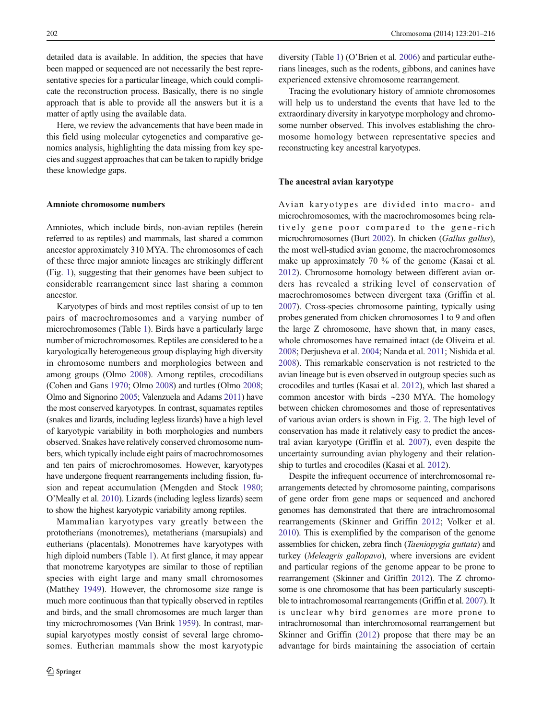detailed data is available. In addition, the species that have been mapped or sequenced are not necessarily the best representative species for a particular lineage, which could complicate the reconstruction process. Basically, there is no single approach that is able to provide all the answers but it is a matter of aptly using the available data.

Here, we review the advancements that have been made in this field using molecular cytogenetics and comparative genomics analysis, highlighting the data missing from key species and suggest approaches that can be taken to rapidly bridge these knowledge gaps.

#### Amniote chromosome numbers

Amniotes, which include birds, non-avian reptiles (herein referred to as reptiles) and mammals, last shared a common ancestor approximately 310 MYA. The chromosomes of each of these three major amniote lineages are strikingly different (Fig. [1\)](#page-2-0), suggesting that their genomes have been subject to considerable rearrangement since last sharing a common ancestor.

Karyotypes of birds and most reptiles consist of up to ten pairs of macrochromosomes and a varying number of microchromosomes (Table [1](#page-2-0)). Birds have a particularly large number of microchromosomes. Reptiles are considered to be a karyologically heterogeneous group displaying high diversity in chromosome numbers and morphologies between and among groups (Olmo [2008\)](#page-13-0). Among reptiles, crocodilians (Cohen and Gans [1970;](#page-11-0) Olmo [2008](#page-13-0)) and turtles (Olmo [2008](#page-13-0); Olmo and Signorino [2005](#page-13-0); Valenzuela and Adams [2011](#page-14-0)) have the most conserved karyotypes. In contrast, squamates reptiles (snakes and lizards, including legless lizards) have a high level of karyotypic variability in both morphologies and numbers observed. Snakes have relatively conserved chromosome numbers, which typically include eight pairs of macrochromosomes and ten pairs of microchromosomes. However, karyotypes have undergone frequent rearrangements including fission, fusion and repeat accumulation (Mengden and Stock [1980](#page-13-0); O'Meally et al. [2010\)](#page-13-0). Lizards (including legless lizards) seem to show the highest karyotypic variability among reptiles.

Mammalian karyotypes vary greatly between the prototherians (monotremes), metatherians (marsupials) and eutherians (placentals). Monotremes have karyotypes with high diploid numbers (Table [1](#page-2-0)). At first glance, it may appear that monotreme karyotypes are similar to those of reptilian species with eight large and many small chromosomes (Matthey [1949\)](#page-13-0). However, the chromosome size range is much more continuous than that typically observed in reptiles and birds, and the small chromosomes are much larger than tiny microchromosomes (Van Brink [1959](#page-14-0)). In contrast, marsupial karyotypes mostly consist of several large chromosomes. Eutherian mammals show the most karyotypic diversity (Table [1](#page-2-0)) (O'Brien et al. [2006](#page-13-0)) and particular eutherians lineages, such as the rodents, gibbons, and canines have experienced extensive chromosome rearrangement.

Tracing the evolutionary history of amniote chromosomes will help us to understand the events that have led to the extraordinary diversity in karyotype morphology and chromosome number observed. This involves establishing the chromosome homology between representative species and reconstructing key ancestral karyotypes.

### The ancestral avian karyotype

Avian karyotypes are divided into macro- and microchromosomes, with the macrochromosomes being relatively gene poor compared to the gene-rich microchromosomes (Burt [2002](#page-11-0)). In chicken (Gallus gallus), the most well-studied avian genome, the macrochromosomes make up approximately 70 % of the genome (Kasai et al. [2012\)](#page-13-0). Chromosome homology between different avian orders has revealed a striking level of conservation of macrochromosomes between divergent taxa (Griffin et al. [2007\)](#page-12-0). Cross-species chromosome painting, typically using probes generated from chicken chromosomes 1 to 9 and often the large Z chromosome, have shown that, in many cases, whole chromosomes have remained intact (de Oliveira et al. [2008;](#page-11-0) Derjusheva et al. [2004;](#page-12-0) Nanda et al. [2011;](#page-13-0) Nishida et al. [2008\)](#page-13-0). This remarkable conservation is not restricted to the avian lineage but is even observed in outgroup species such as crocodiles and turtles (Kasai et al. [2012](#page-13-0)), which last shared a common ancestor with birds ∼230 MYA. The homology between chicken chromosomes and those of representatives of various avian orders is shown in Fig. [2.](#page-3-0) The high level of conservation has made it relatively easy to predict the ancestral avian karyotype (Griffin et al. [2007\)](#page-12-0), even despite the uncertainty surrounding avian phylogeny and their relationship to turtles and crocodiles (Kasai et al. [2012\)](#page-13-0).

Despite the infrequent occurrence of interchromosomal rearrangements detected by chromosome painting, comparisons of gene order from gene maps or sequenced and anchored genomes has demonstrated that there are intrachromosomal rearrangements (Skinner and Griffin [2012](#page-14-0); Volker et al. [2010\)](#page-15-0). This is exemplified by the comparison of the genome assemblies for chicken, zebra finch (Taeniopygia guttata) and turkey (Meleagris gallopavo), where inversions are evident and particular regions of the genome appear to be prone to rearrangement (Skinner and Griffin [2012](#page-14-0)). The Z chromosome is one chromosome that has been particularly susceptible to intrachromosomal rearrangements (Griffin et al. [2007](#page-12-0)). It is unclear why bird genomes are more prone to intrachromosomal than interchromosomal rearrangement but Skinner and Griffin [\(2012](#page-14-0)) propose that there may be an advantage for birds maintaining the association of certain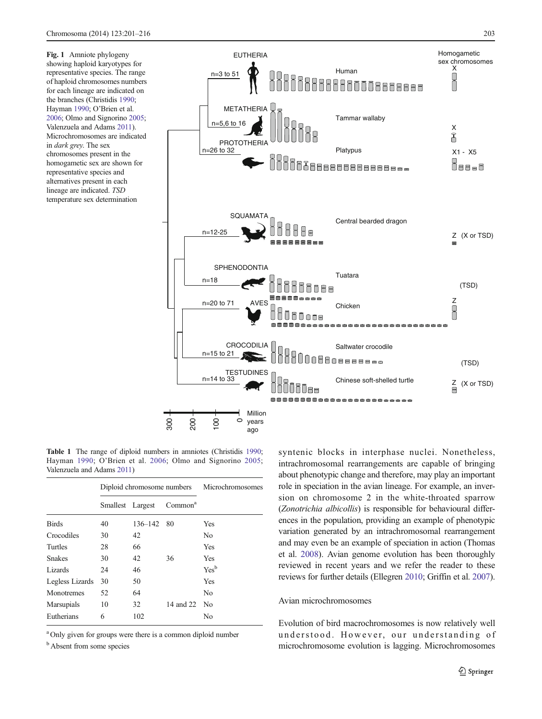<span id="page-2-0"></span>Fig. 1 Amniote phylogeny showing haploid karyotypes for representative species. The range of haploid chromosomes numbers for each lineage are indicated on the branches (Christidis [1990;](#page-11-0) Hayman [1990;](#page-12-0) O'Brien et al. [2006;](#page-13-0) Olmo and Signorino [2005](#page-13-0); Valenzuela and Adams [2011](#page-14-0)). Microchromosomes are indicated in dark grey. The sex chromosomes present in the homogametic sex are shown for representative species and alternatives present in each lineage are indicated. TSD temperature sex determination



Table 1 The range of diploid numbers in amniotes (Christidis [1990;](#page-11-0) Hayman [1990;](#page-12-0) O'Brien et al. [2006;](#page-13-0) Olmo and Signorino [2005;](#page-13-0) Valenzuela and Adams [2011](#page-14-0))

|                   | Diploid chromosome numbers |         |                     | Microchromosomes |
|-------------------|----------------------------|---------|---------------------|------------------|
|                   | Smallest Largest           |         | Common <sup>a</sup> |                  |
| <b>Birds</b>      | 40                         | 136-142 | 80                  | Yes              |
| Crocodiles        | 30                         | 42      |                     | No               |
| <b>Turtles</b>    | 28                         | 66      |                     | Yes              |
| <b>Snakes</b>     | 30                         | 42      | 36                  | Yes              |
| Lizards           | 24                         | 46      |                     | Yes <sup>b</sup> |
| Legless Lizards   | 30                         | 50      |                     | Yes              |
| <b>Monotremes</b> | 52                         | 64      |                     | No               |
| Marsupials        | 10                         | 32      | 14 and 22           | No               |
| Eutherians        | 6                          | 102     |                     | No               |

<sup>a</sup> Only given for groups were there is a common diploid number

**b** Absent from some species

syntenic blocks in interphase nuclei. Nonetheless, intrachromosomal rearrangements are capable of bringing about phenotypic change and therefore, may play an important role in speciation in the avian lineage. For example, an inversion on chromosome 2 in the white-throated sparrow (Zonotrichia albicollis) is responsible for behavioural differences in the population, providing an example of phenotypic variation generated by an intrachromosomal rearrangement and may even be an example of speciation in action (Thomas et al. [2008](#page-14-0)). Avian genome evolution has been thoroughly reviewed in recent years and we refer the reader to these reviews for further details (Ellegren [2010;](#page-12-0) Griffin et al. [2007\)](#page-12-0).

#### Avian microchromosomes

Evolution of bird macrochromosomes is now relatively well understood. However, our understanding of microchromosome evolution is lagging. Microchromosomes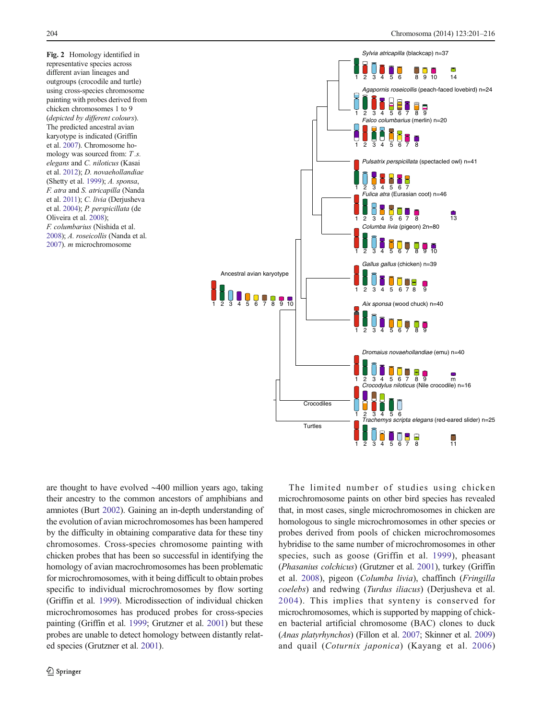<span id="page-3-0"></span>Fig. 2 Homology identified in representative species across different avian lineages and outgroups (crocodile and turtle) using cross-species chromosome painting with probes derived from chicken chromosomes 1 to 9 (depicted by different colours). The predicted ancestral avian karyotype is indicated (Griffin et al. [2007\)](#page-12-0). Chromosome homology was sourced from: T.s. elegans and C. niloticus (Kasai et al. [2012\)](#page-13-0); D. novaehollandiae (Shetty et al. [1999\)](#page-14-0); A. sponsa, F. atra and S. atricapilla (Nanda et al. [2011](#page-13-0)); C. livia (Derjusheva et al. [2004\)](#page-12-0); P. perspicillata (de Oliveira et al. [2008\)](#page-11-0); F. columbarius (Nishida et al. [2008\)](#page-13-0); A. roseicollis (Nanda et al. [2007\)](#page-13-0). m microchromosome



are thought to have evolved ∼400 million years ago, taking their ancestry to the common ancestors of amphibians and amniotes (Burt [2002](#page-11-0)). Gaining an in-depth understanding of the evolution of avian microchromosomes has been hampered by the difficulty in obtaining comparative data for these tiny chromosomes. Cross-species chromosome painting with chicken probes that has been so successful in identifying the homology of avian macrochromosomes has been problematic for microchromosomes, with it being difficult to obtain probes specific to individual microchromosomes by flow sorting (Griffin et al. [1999](#page-12-0)). Microdissection of individual chicken microchromosomes has produced probes for cross-species painting (Griffin et al. [1999](#page-12-0); Grutzner et al. [2001](#page-12-0)) but these probes are unable to detect homology between distantly related species (Grutzner et al. [2001\)](#page-12-0).

The limited number of studies using chicken microchromosome paints on other bird species has revealed that, in most cases, single microchromosomes in chicken are homologous to single microchromosomes in other species or probes derived from pools of chicken microchromosomes hybridise to the same number of microchromosomes in other species, such as goose (Griffin et al. [1999\)](#page-12-0), pheasant (Phasanius colchicus) (Grutzner et al. [2001](#page-12-0)), turkey (Griffin et al. [2008](#page-12-0)), pigeon (Columba livia), chaffinch (Fringilla coelebs) and redwing (Turdus iliacus) (Derjusheva et al. [2004\)](#page-12-0). This implies that synteny is conserved for microchromosomes, which is supported by mapping of chicken bacterial artificial chromosome (BAC) clones to duck (Anas platyrhynchos) (Fillon et al. [2007](#page-12-0); Skinner et al. [2009](#page-14-0)) and quail (Coturnix japonica) (Kayang et al. [2006](#page-13-0))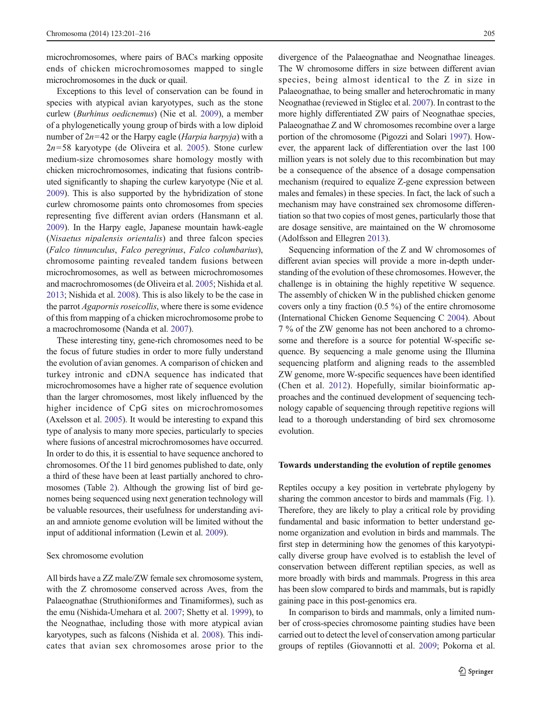microchromosomes, where pairs of BACs marking opposite ends of chicken microchromosomes mapped to single microchromosomes in the duck or quail.

Exceptions to this level of conservation can be found in species with atypical avian karyotypes, such as the stone curlew (Burhinus oedicnemus) (Nie et al. [2009](#page-13-0)), a member of a phylogenetically young group of birds with a low diploid number of  $2n=42$  or the Harpy eagle (*Harpia harpyja*) with a  $2n=58$  karyotype (de Oliveira et al. [2005](#page-11-0)). Stone curlew medium-size chromosomes share homology mostly with chicken microchromosomes, indicating that fusions contributed significantly to shaping the curlew karyotype (Nie et al. [2009\)](#page-13-0). This is also supported by the hybridization of stone curlew chromosome paints onto chromosomes from species representing five different avian orders (Hansmann et al. [2009\)](#page-12-0). In the Harpy eagle, Japanese mountain hawk-eagle (Nisaetus nipalensis orientalis) and three falcon species (Falco tinnunculus, Falco peregrinus, Falco columbarius), chromosome painting revealed tandem fusions between microchromosomes, as well as between microchromosomes and macrochromosomes (de Oliveira et al. [2005](#page-11-0); Nishida et al. [2013;](#page-13-0) Nishida et al. [2008\)](#page-13-0). This is also likely to be the case in the parrot Agapornis roseicollis, where there is some evidence of this from mapping of a chicken microchromosome probe to a macrochromosome (Nanda et al. [2007](#page-13-0)).

These interesting tiny, gene-rich chromosomes need to be the focus of future studies in order to more fully understand the evolution of avian genomes. A comparison of chicken and turkey intronic and cDNA sequence has indicated that microchromosomes have a higher rate of sequence evolution than the larger chromosomes, most likely influenced by the higher incidence of CpG sites on microchromosomes (Axelsson et al. [2005](#page-11-0)). It would be interesting to expand this type of analysis to many more species, particularly to species where fusions of ancestral microchromosomes have occurred. In order to do this, it is essential to have sequence anchored to chromosomes. Of the 11 bird genomes published to date, only a third of these have been at least partially anchored to chromosomes (Table [2\)](#page-5-0). Although the growing list of bird genomes being sequenced using next generation technology will be valuable resources, their usefulness for understanding avian and amniote genome evolution will be limited without the input of additional information (Lewin et al. [2009](#page-13-0)).

### Sex chromosome evolution

All birds have a ZZ male/ZW female sex chromosome system, with the Z chromosome conserved across Aves, from the Palaeognathae (Struthioniformes and Tinamiformes), such as the emu (Nishida-Umehara et al. [2007](#page-13-0); Shetty et al. [1999](#page-14-0)), to the Neognathae, including those with more atypical avian karyotypes, such as falcons (Nishida et al. [2008\)](#page-13-0). This indicates that avian sex chromosomes arose prior to the divergence of the Palaeognathae and Neognathae lineages. The W chromosome differs in size between different avian species, being almost identical to the Z in size in Palaeognathae, to being smaller and heterochromatic in many Neognathae (reviewed in Stiglec et al. [2007\)](#page-14-0). In contrast to the more highly differentiated ZW pairs of Neognathae species, Palaeognathae Z and W chromosomes recombine over a large portion of the chromosome (Pigozzi and Solari [1997](#page-13-0)). However, the apparent lack of differentiation over the last 100 million years is not solely due to this recombination but may be a consequence of the absence of a dosage compensation mechanism (required to equalize Z-gene expression between males and females) in these species. In fact, the lack of such a mechanism may have constrained sex chromosome differentiation so that two copies of most genes, particularly those that are dosage sensitive, are maintained on the W chromosome (Adolfsson and Ellegren [2013](#page-11-0)).

Sequencing information of the Z and W chromosomes of different avian species will provide a more in-depth understanding of the evolution of these chromosomes. However, the challenge is in obtaining the highly repetitive W sequence. The assembly of chicken W in the published chicken genome covers only a tiny fraction (0.5 %) of the entire chromosome (International Chicken Genome Sequencing C [2004](#page-12-0)). About 7 % of the ZW genome has not been anchored to a chromosome and therefore is a source for potential W-specific sequence. By sequencing a male genome using the Illumina sequencing platform and aligning reads to the assembled ZW genome, more W-specific sequences have been identified (Chen et al. [2012\)](#page-11-0). Hopefully, similar bioinformatic approaches and the continued development of sequencing technology capable of sequencing through repetitive regions will lead to a thorough understanding of bird sex chromosome evolution.

#### Towards understanding the evolution of reptile genomes

Reptiles occupy a key position in vertebrate phylogeny by sharing the common ancestor to birds and mammals (Fig. [1\)](#page-2-0). Therefore, they are likely to play a critical role by providing fundamental and basic information to better understand genome organization and evolution in birds and mammals. The first step in determining how the genomes of this karyotypically diverse group have evolved is to establish the level of conservation between different reptilian species, as well as more broadly with birds and mammals. Progress in this area has been slow compared to birds and mammals, but is rapidly gaining pace in this post-genomics era.

In comparison to birds and mammals, only a limited number of cross-species chromosome painting studies have been carried out to detect the level of conservation among particular groups of reptiles (Giovannotti et al. [2009](#page-12-0); Pokorna et al.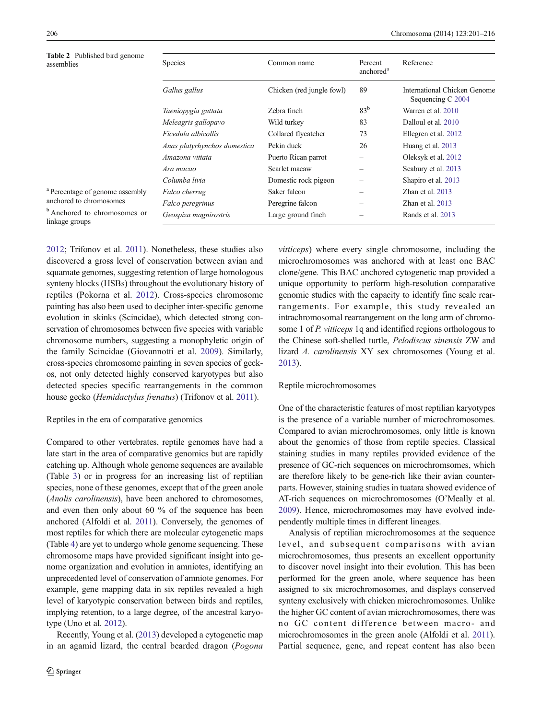<span id="page-5-0"></span>

| <b>Table 2</b> Published bird genome<br>assemblies                    | <b>Species</b>               | Common name               | Percent<br>anchored <sup>a</sup> | Reference                                         |
|-----------------------------------------------------------------------|------------------------------|---------------------------|----------------------------------|---------------------------------------------------|
|                                                                       | Gallus gallus                | Chicken (red jungle fowl) | 89                               | International Chicken Genome<br>Sequencing C 2004 |
|                                                                       | Taeniopygia guttata          | Zebra finch               | 83 <sup>b</sup>                  | Warren et al. 2010                                |
|                                                                       | Meleagris gallopavo          | Wild turkey               | 83                               | Dalloul et al. 2010                               |
|                                                                       | Ficedula albicollis          | Collared flycatcher       | 73                               | Ellegren et al. 2012                              |
|                                                                       | Anas platyrhynchos domestica | Pekin duck                | 26                               | Huang et al. 2013                                 |
|                                                                       | Amazona vittata              | Puerto Rican parrot       |                                  | Oleksyk et al. 2012                               |
|                                                                       | Ara macao                    | Scarlet macaw             |                                  | Seabury et al. 2013                               |
|                                                                       | Columba livia                | Domestic rock pigeon      |                                  | Shapiro et al. 2013                               |
| <sup>a</sup> Percentage of genome assembly<br>anchored to chromosomes | Falco cherrug                | Saker falcon              | $\overline{\phantom{0}}$         | Zhan et al. 2013                                  |
|                                                                       | <i>Falco peregrinus</i>      | Peregrine falcon          | -                                | Zhan et al. 2013                                  |
| <sup>b</sup> Anchored to chromosomes or<br>linkage groups             | Geospiza magnirostris        | Large ground finch        |                                  | Rands et al. 2013                                 |

[2012;](#page-14-0) Trifonov et al. [2011](#page-14-0)). Nonetheless, these studies also discovered a gross level of conservation between avian and squamate genomes, suggesting retention of large homologous synteny blocks (HSBs) throughout the evolutionary history of reptiles (Pokorna et al. [2012\)](#page-14-0). Cross-species chromosome painting has also been used to decipher inter-specific genome evolution in skinks (Scincidae), which detected strong conservation of chromosomes between five species with variable chromosome numbers, suggesting a monophyletic origin of the family Scincidae (Giovannotti et al. [2009](#page-12-0)). Similarly, cross-species chromosome painting in seven species of geckos, not only detected highly conserved karyotypes but also detected species specific rearrangements in the common house gecko (*Hemidactylus frenatus*) (Trifonov et al. [2011](#page-14-0)).

#### Reptiles in the era of comparative genomics

Compared to other vertebrates, reptile genomes have had a late start in the area of comparative genomics but are rapidly catching up. Although whole genome sequences are available (Table [3](#page-6-0)) or in progress for an increasing list of reptilian species, none of these genomes, except that of the green anole (Anolis carolinensis), have been anchored to chromosomes, and even then only about 60 % of the sequence has been anchored (Alfoldi et al. [2011](#page-11-0)). Conversely, the genomes of most reptiles for which there are molecular cytogenetic maps (Table [4](#page-6-0)) are yet to undergo whole genome sequencing. These chromosome maps have provided significant insight into genome organization and evolution in amniotes, identifying an unprecedented level of conservation of amniote genomes. For example, gene mapping data in six reptiles revealed a high level of karyotypic conservation between birds and reptiles, implying retention, to a large degree, of the ancestral karyotype (Uno et al. [2012](#page-14-0)).

Recently, Young et al. [\(2013\)](#page-15-0) developed a cytogenetic map in an agamid lizard, the central bearded dragon (Pogona vitticeps) where every single chromosome, including the microchromosomes was anchored with at least one BAC clone/gene. This BAC anchored cytogenetic map provided a unique opportunity to perform high-resolution comparative genomic studies with the capacity to identify fine scale rearrangements. For example, this study revealed an intrachromosomal rearrangement on the long arm of chromosome 1 of *P. vitticeps* 1q and identified regions orthologous to the Chinese soft-shelled turtle, Pelodiscus sinensis ZW and lizard A. carolinensis XY sex chromosomes (Young et al. [2013\)](#page-15-0).

#### Reptile microchromosomes

One of the characteristic features of most reptilian karyotypes is the presence of a variable number of microchromosomes. Compared to avian microchromosomes, only little is known about the genomics of those from reptile species. Classical staining studies in many reptiles provided evidence of the presence of GC-rich sequences on microchromsomes, which are therefore likely to be gene-rich like their avian counterparts. However, staining studies in tuatara showed evidence of AT-rich sequences on microchromosomes (O'Meally et al. [2009\)](#page-13-0). Hence, microchromosomes may have evolved independently multiple times in different lineages.

Analysis of reptilian microchromosomes at the sequence level, and subsequent comparisons with avian microchromosomes, thus presents an excellent opportunity to discover novel insight into their evolution. This has been performed for the green anole, where sequence has been assigned to six microchromosomes, and displays conserved synteny exclusively with chicken microchromosomes. Unlike the higher GC content of avian microchromosomes, there was no GC content difference between macro- and microchromosomes in the green anole (Alfoldi et al. [2011\)](#page-11-0). Partial sequence, gene, and repeat content has also been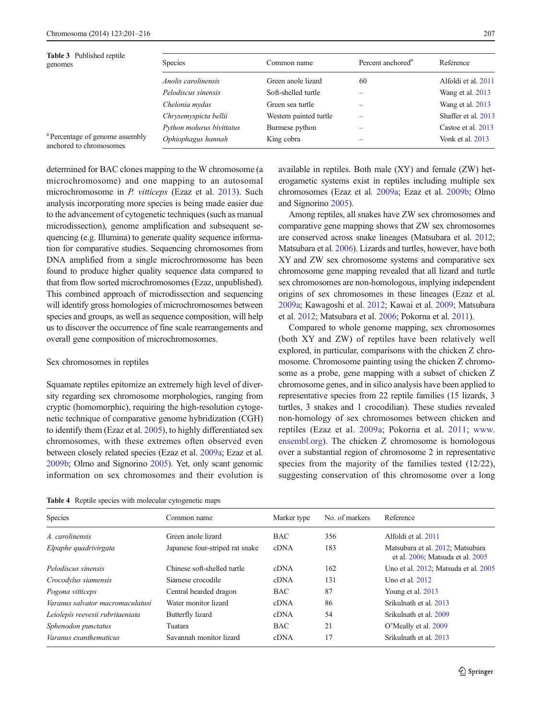<span id="page-6-0"></span>

| <b>Table 3</b> Published reptile<br>genomes                           | <b>Species</b><br>Common name<br>Anolis carolinensis<br>Green anole lizard<br>Soft-shelled turtle<br>Pelodiscus sinensis<br>Chelonia mydas<br>Green sea turtle<br>Western painted turtle<br>Chrysemyspicta bellii<br>Python molurus bivittatus<br>Burmese python | Percent anchored <sup>a</sup> | Reference |                     |
|-----------------------------------------------------------------------|------------------------------------------------------------------------------------------------------------------------------------------------------------------------------------------------------------------------------------------------------------------|-------------------------------|-----------|---------------------|
|                                                                       |                                                                                                                                                                                                                                                                  |                               | 60        | Alfoldi et al. 2011 |
|                                                                       |                                                                                                                                                                                                                                                                  |                               |           | Wang et al. 2013    |
|                                                                       |                                                                                                                                                                                                                                                                  |                               |           | Wang et al. 2013    |
|                                                                       |                                                                                                                                                                                                                                                                  |                               |           | Shaffer et al. 2013 |
|                                                                       |                                                                                                                                                                                                                                                                  |                               |           | Castoe et al. 2013  |
| <sup>a</sup> Percentage of genome assembly<br>anchored to chromosomes | Ophiophagus hannah                                                                                                                                                                                                                                               | King cobra                    |           | Vonk et al. 2013    |

determined for BAC clones mapping to the W chromosome (a microchromosome) and one mapping to an autosomal microchromosome in P. vitticeps (Ezaz et al. [2013\)](#page-12-0). Such analysis incorporating more species is being made easier due to the advancement of cytogenetic techniques (such as manual microdissection), genome amplification and subsequent sequencing (e.g. Illumina) to generate quality sequence information for comparative studies. Sequencing chromosomes from DNA amplified from a single microchromosome has been found to produce higher quality sequence data compared to that from flow sorted microchromosomes (Ezaz, unpublished). This combined approach of microdissection and sequencing will identify gross homologies of microchromosomes between species and groups, as well as sequence composition, will help us to discover the occurrence of fine scale rearrangements and overall gene composition of microchromosomes.

#### Sex chromosomes in reptiles

Squamate reptiles epitomize an extremely high level of diversity regarding sex chromosome morphologies, ranging from cryptic (homomorphic), requiring the high-resolution cytogenetic technique of comparative genome hybridization (CGH) to identify them (Ezaz et al. [2005](#page-12-0)), to highly differentiated sex chromosomes, with these extremes often observed even between closely related species (Ezaz et al. [2009a;](#page-12-0) Ezaz et al. [2009b](#page-12-0); Olmo and Signorino [2005\)](#page-13-0). Yet, only scant genomic information on sex chromosomes and their evolution is

Table 4 Reptile species with molecular cytogenetic maps

available in reptiles. Both male (XY) and female (ZW) heterogametic systems exist in reptiles including multiple sex chromosomes (Ezaz et al. [2009a;](#page-12-0) Ezaz et al. [2009b](#page-12-0); Olmo and Signorino [2005](#page-13-0)).

Among reptiles, all snakes have ZW sex chromosomes and comparative gene mapping shows that ZW sex chromosomes are conserved across snake lineages (Matsubara et al. [2012;](#page-13-0) Matsubara et al. [2006\)](#page-13-0). Lizards and turtles, however, have both XY and ZW sex chromosome systems and comparative sex chromosome gene mapping revealed that all lizard and turtle sex chromosomes are non-homologous, implying independent origins of sex chromosomes in these lineages (Ezaz et al. [2009a;](#page-12-0) Kawagoshi et al. [2012](#page-13-0); Kawai et al. [2009](#page-13-0); Matsubara et al. [2012;](#page-13-0) Matsubara et al. [2006;](#page-13-0) Pokorna et al. [2011\)](#page-14-0).

Compared to whole genome mapping, sex chromosomes (both XY and ZW) of reptiles have been relatively well explored, in particular, comparisons with the chicken Z chromosome. Chromosome painting using the chicken Z chromosome as a probe, gene mapping with a subset of chicken Z chromosome genes, and in silico analysis have been applied to representative species from 22 reptile families (15 lizards, 3 turtles, 3 snakes and 1 crocodilian). These studies revealed non-homology of sex chromosomes between chicken and reptiles (Ezaz et al. [2009a](#page-12-0); Pokorna et al. [2011](#page-14-0); [www.](http://www.ensembl.org/) [ensembl.org\)](http://www.ensembl.org/). The chicken Z chromosome is homologous over a substantial region of chromosome 2 in representative species from the majority of the families tested (12/22), suggesting conservation of this chromosome over a long

| <b>Species</b>                   | Common name                     | Marker type | No. of markers | Reference                                                            |
|----------------------------------|---------------------------------|-------------|----------------|----------------------------------------------------------------------|
| A. carolinensis                  | Green anole lizard              | <b>BAC</b>  | 356            | Alfoldi et al. 2011                                                  |
| Elpaphe quadrivirgata            | Japanese four-striped rat snake | cDNA        | 183            | Matsubara et al. 2012; Matsubara<br>et al. 2006; Matsuda et al. 2005 |
| Pelodiscus sinensis              | Chinese soft-shelled turtle     | cDNA        | 162            | Uno et al. 2012; Matsuda et al. 2005                                 |
| Crocodylus siamensis             | Siamese crocodile               | cDNA        | 131            | Uno et al. $2012$                                                    |
| Pogona vitticeps                 | Central bearded dragon          | <b>BAC</b>  | 87             | Young et al. 2013                                                    |
| Varanus salvator macromaculatusi | Water monitor lizard            | cDNA        | 86             | Srikulnath et al. 2013                                               |
| Leiolepis reevesii rubritaeniata | <b>Butterfly lizard</b>         | cDNA        | 54             | Srikulnath et al. 2009                                               |
| Sphenodon punctatus              | Tuatara                         | <b>BAC</b>  | 21             | O'Meally et al. 2009                                                 |
| Varanus exanthematicus           | Savannah monitor lizard         | cDNA        | 17             | Srikulnath et al. 2013                                               |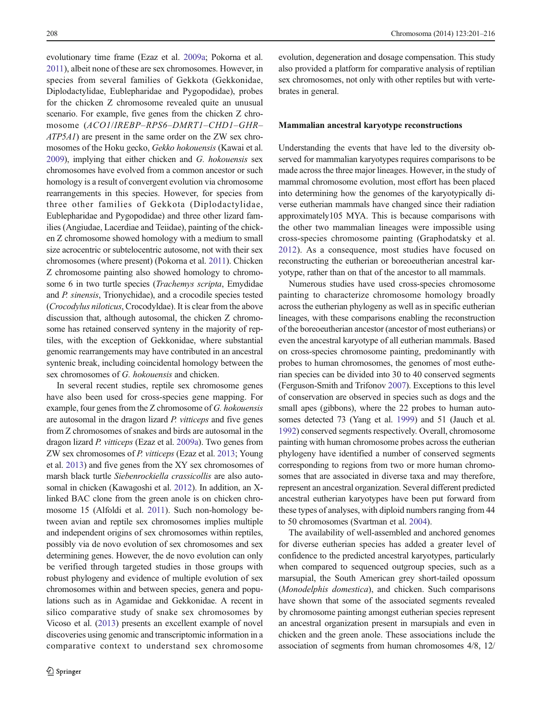evolutionary time frame (Ezaz et al. [2009a;](#page-12-0) Pokorna et al. [2011](#page-14-0)), albeit none of these are sex chromosomes. However, in species from several families of Gekkota (Gekkonidae, Diplodactylidae, Eublepharidae and Pygopodidae), probes for the chicken Z chromosome revealed quite an unusual scenario. For example, five genes from the chicken Z chromosome (ACO1/IREBP–RPS6–DMRT1–CHD1–GHR– ATP5A1) are present in the same order on the ZW sex chromosomes of the Hoku gecko, Gekko hokouensis (Kawai et al. [2009\)](#page-13-0), implying that either chicken and G. hokouensis sex chromosomes have evolved from a common ancestor or such homology is a result of convergent evolution via chromosome rearrangements in this species. However, for species from three other families of Gekkota (Diplodactylidae, Eublepharidae and Pygopodidae) and three other lizard families (Angiudae, Lacerdiae and Teiidae), painting of the chicken Z chromosome showed homology with a medium to small size acrocentric or subtelocentric autosome, not with their sex chromosomes (where present) (Pokorna et al. [2011\)](#page-14-0). Chicken Z chromosome painting also showed homology to chromosome 6 in two turtle species (Trachemys scripta, Emydidae and P. sinensis, Trionychidae), and a crocodile species tested (Crocodylus niloticus, Crocodyldae). It is clear from the above discussion that, although autosomal, the chicken Z chromosome has retained conserved synteny in the majority of reptiles, with the exception of Gekkonidae, where substantial genomic rearrangements may have contributed in an ancestral syntenic break, including coincidental homology between the sex chromosomes of G. hokouensis and chicken.

In several recent studies, reptile sex chromosome genes have also been used for cross-species gene mapping. For example, four genes from the Z chromosome of G. hokouensis are autosomal in the dragon lizard P. vitticeps and five genes from Z chromosomes of snakes and birds are autosomal in the dragon lizard P. vitticeps (Ezaz et al. [2009a\)](#page-12-0). Two genes from ZW sex chromosomes of P. vitticeps (Ezaz et al. [2013](#page-12-0); Young et al. [2013\)](#page-15-0) and five genes from the XY sex chromosomes of marsh black turtle Siebenrockiella crassicollis are also autosomal in chicken (Kawagoshi et al. [2012\)](#page-13-0). In addition, an Xlinked BAC clone from the green anole is on chicken chromosome 15 (Alfoldi et al. [2011](#page-11-0)). Such non-homology between avian and reptile sex chromosomes implies multiple and independent origins of sex chromosomes within reptiles, possibly via de novo evolution of sex chromosomes and sex determining genes. However, the de novo evolution can only be verified through targeted studies in those groups with robust phylogeny and evidence of multiple evolution of sex chromosomes within and between species, genera and populations such as in Agamidae and Gekkonidae. A recent in silico comparative study of snake sex chromosomes by Vicoso et al. ([2013](#page-14-0)) presents an excellent example of novel discoveries using genomic and transcriptomic information in a comparative context to understand sex chromosome

evolution, degeneration and dosage compensation. This study also provided a platform for comparative analysis of reptilian sex chromosomes, not only with other reptiles but with vertebrates in general.

## Mammalian ancestral karyotype reconstructions

Understanding the events that have led to the diversity observed for mammalian karyotypes requires comparisons to be made across the three major lineages. However, in the study of mammal chromosome evolution, most effort has been placed into determining how the genomes of the karyotypically diverse eutherian mammals have changed since their radiation approximately105 MYA. This is because comparisons with the other two mammalian lineages were impossible using cross-species chromosome painting (Graphodatsky et al. [2012](#page-12-0)). As a consequence, most studies have focused on reconstructing the eutherian or boreoeutherian ancestral karyotype, rather than on that of the ancestor to all mammals.

Numerous studies have used cross-species chromosome painting to characterize chromosome homology broadly across the eutherian phylogeny as well as in specific eutherian lineages, with these comparisons enabling the reconstruction of the boreoeutherian ancestor (ancestor of most eutherians) or even the ancestral karyotype of all eutherian mammals. Based on cross-species chromosome painting, predominantly with probes to human chromosomes, the genomes of most eutherian species can be divided into 30 to 40 conserved segments (Ferguson-Smith and Trifonov [2007](#page-12-0)). Exceptions to this level of conservation are observed in species such as dogs and the small apes (gibbons), where the 22 probes to human autosomes detected 73 (Yang et al. [1999\)](#page-15-0) and 51 (Jauch et al. [1992\)](#page-12-0) conserved segments respectively. Overall, chromosome painting with human chromosome probes across the eutherian phylogeny have identified a number of conserved segments corresponding to regions from two or more human chromosomes that are associated in diverse taxa and may therefore, represent an ancestral organization. Several different predicted ancestral eutherian karyotypes have been put forward from these types of analyses, with diploid numbers ranging from 44 to 50 chromosomes (Svartman et al. [2004](#page-14-0)).

The availability of well-assembled and anchored genomes for diverse eutherian species has added a greater level of confidence to the predicted ancestral karyotypes, particularly when compared to sequenced outgroup species, such as a marsupial, the South American grey short-tailed opossum (Monodelphis domestica), and chicken. Such comparisons have shown that some of the associated segments revealed by chromosome painting amongst eutherian species represent an ancestral organization present in marsupials and even in chicken and the green anole. These associations include the association of segments from human chromosomes 4/8, 12/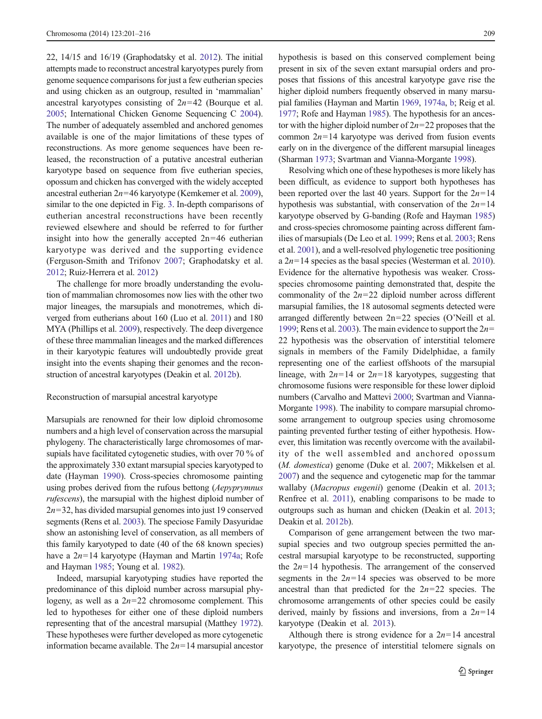22, 14/15 and 16/19 (Graphodatsky et al. [2012](#page-12-0)). The initial attempts made to reconstruct ancestral karyotypes purely from genome sequence comparisons for just a few eutherian species and using chicken as an outgroup, resulted in 'mammalian' ancestral karyotypes consisting of  $2n=42$  (Bourque et al. [2005;](#page-11-0) International Chicken Genome Sequencing C [2004\)](#page-12-0). The number of adequately assembled and anchored genomes available is one of the major limitations of these types of reconstructions. As more genome sequences have been released, the reconstruction of a putative ancestral eutherian karyotype based on sequence from five eutherian species, opossum and chicken has converged with the widely accepted ancestral eutherian  $2n=46$  karyotype (Kemkemer et al. [2009\)](#page-13-0), similar to the one depicted in Fig. [3](#page-9-0). In-depth comparisons of eutherian ancestral reconstructions have been recently reviewed elsewhere and should be referred to for further insight into how the generally accepted  $2n=46$  eutherian karyotype was derived and the supporting evidence (Ferguson-Smith and Trifonov [2007;](#page-12-0) Graphodatsky et al. [2012;](#page-12-0) Ruiz-Herrera et al. [2012](#page-14-0))

The challenge for more broadly understanding the evolution of mammalian chromosomes now lies with the other two major lineages, the marsupials and monotremes, which diverged from eutherians about 160 (Luo et al. [2011\)](#page-13-0) and 180 MYA (Phillips et al. [2009](#page-13-0)), respectively. The deep divergence of these three mammalian lineages and the marked differences in their karyotypic features will undoubtedly provide great insight into the events shaping their genomes and the reconstruction of ancestral karyotypes (Deakin et al. [2012b\)](#page-12-0).

#### Reconstruction of marsupial ancestral karyotype

Marsupials are renowned for their low diploid chromosome numbers and a high level of conservation across the marsupial phylogeny. The characteristically large chromosomes of marsupials have facilitated cytogenetic studies, with over 70 % of the approximately 330 extant marsupial species karyotyped to date (Hayman [1990\)](#page-12-0). Cross-species chromosome painting using probes derived from the rufous bettong (Aepyprymnus rufescens), the marsupial with the highest diploid number of  $2n=32$ , has divided marsupial genomes into just 19 conserved segments (Rens et al. [2003\)](#page-14-0). The speciose Family Dasyuridae show an astonishing level of conservation, as all members of this family karyotyped to date (40 of the 68 known species) have a  $2n=14$  karyotype (Hayman and Martin [1974a](#page-12-0); Rofe and Hayman [1985](#page-14-0); Young et al. [1982\)](#page-15-0).

Indeed, marsupial karyotyping studies have reported the predominance of this diploid number across marsupial phylogeny, as well as a  $2n=22$  chromosome complement. This led to hypotheses for either one of these diploid numbers representing that of the ancestral marsupial (Matthey [1972\)](#page-13-0). These hypotheses were further developed as more cytogenetic information became available. The  $2n=14$  marsupial ancestor hypothesis is based on this conserved complement being present in six of the seven extant marsupial orders and proposes that fissions of this ancestral karyotype gave rise the higher diploid numbers frequently observed in many marsupial families (Hayman and Martin [1969](#page-12-0), [1974a](#page-12-0), [b](#page-12-0); Reig et al. [1977;](#page-14-0) Rofe and Hayman [1985](#page-14-0)). The hypothesis for an ancestor with the higher diploid number of  $2n=22$  proposes that the common  $2n=14$  karyotype was derived from fusion events early on in the divergence of the different marsupial lineages (Sharman [1973;](#page-14-0) Svartman and Vianna-Morgante [1998](#page-14-0)).

Resolving which one of these hypotheses is more likely has been difficult, as evidence to support both hypotheses has been reported over the last 40 years. Support for the  $2n=14$ hypothesis was substantial, with conservation of the  $2n=14$ karyotype observed by G-banding (Rofe and Hayman [1985](#page-14-0)) and cross-species chromosome painting across different families of marsupials (De Leo et al. [1999;](#page-11-0) Rens et al. [2003;](#page-14-0) Rens et al. [2001](#page-14-0)), and a well-resolved phylogenetic tree positioning a  $2n=14$  species as the basal species (Westerman et al. [2010\)](#page-15-0). Evidence for the alternative hypothesis was weaker. Crossspecies chromosome painting demonstrated that, despite the commonality of the  $2n=22$  diploid number across different marsupial families, the 18 autosomal segments detected were arranged differently between 2n=22 species (O'Neill et al. [1999;](#page-13-0) Rens et al. [2003](#page-14-0)). The main evidence to support the  $2n=$ 22 hypothesis was the observation of interstitial telomere signals in members of the Family Didelphidae, a family representing one of the earliest offshoots of the marsupial lineage, with  $2n=14$  or  $2n=18$  karyotypes, suggesting that chromosome fusions were responsible for these lower diploid numbers (Carvalho and Mattevi [2000](#page-11-0); Svartman and Vianna-Morgante [1998\)](#page-14-0). The inability to compare marsupial chromosome arrangement to outgroup species using chromosome painting prevented further testing of either hypothesis. However, this limitation was recently overcome with the availability of the well assembled and anchored opossum (M. domestica) genome (Duke et al. [2007;](#page-12-0) Mikkelsen et al. [2007\)](#page-13-0) and the sequence and cytogenetic map for the tammar wallaby (Macropus eugenii) genome (Deakin et al. [2013;](#page-12-0) Renfree et al. [2011](#page-14-0)), enabling comparisons to be made to outgroups such as human and chicken (Deakin et al. [2013;](#page-12-0) Deakin et al. [2012b\)](#page-12-0).

Comparison of gene arrangement between the two marsupial species and two outgroup species permitted the ancestral marsupial karyotype to be reconstructed, supporting the  $2n=14$  hypothesis. The arrangement of the conserved segments in the  $2n=14$  species was observed to be more ancestral than that predicted for the  $2n=22$  species. The chromosome arrangements of other species could be easily derived, mainly by fissions and inversions, from a  $2n=14$ karyotype (Deakin et al. [2013\)](#page-12-0).

Although there is strong evidence for a  $2n=14$  ancestral karyotype, the presence of interstitial telomere signals on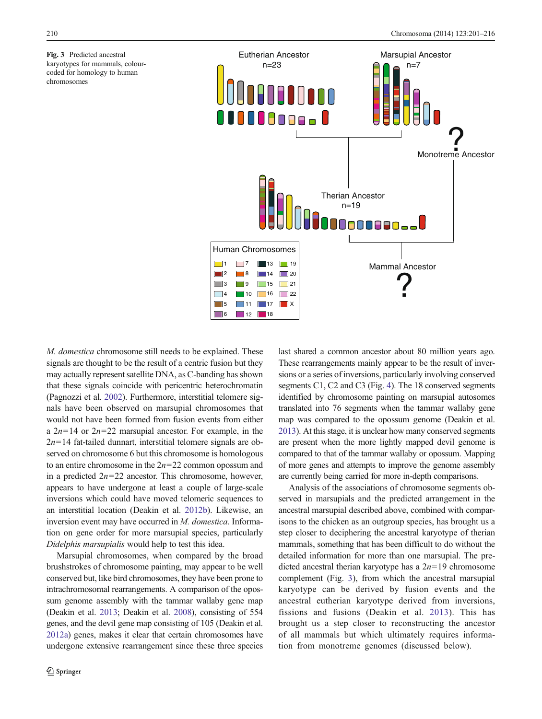<span id="page-9-0"></span>Fig. 3 Predicted ancestral karyotypes for mammals, colourcoded for homology to human chromosomes



M. domestica chromosome still needs to be explained. These signals are thought to be the result of a centric fusion but they may actually represent satellite DNA, as C-banding has shown that these signals coincide with pericentric heterochromatin (Pagnozzi et al. [2002](#page-13-0)). Furthermore, interstitial telomere signals have been observed on marsupial chromosomes that would not have been formed from fusion events from either a  $2n=14$  or  $2n=22$  marsupial ancestor. For example, in the  $2n=14$  fat-tailed dunnart, interstitial telomere signals are observed on chromosome 6 but this chromosome is homologous to an entire chromosome in the  $2n=22$  common opossum and in a predicted  $2n=22$  ancestor. This chromosome, however, appears to have undergone at least a couple of large-scale inversions which could have moved telomeric sequences to an interstitial location (Deakin et al. [2012b\)](#page-12-0). Likewise, an inversion event may have occurred in M. domestica. Information on gene order for more marsupial species, particularly Didelphis marsupialis would help to test this idea.

Marsupial chromosomes, when compared by the broad brushstrokes of chromosome painting, may appear to be well conserved but, like bird chromosomes, they have been prone to intrachromosomal rearrangements. A comparison of the opossum genome assembly with the tammar wallaby gene map (Deakin et al. [2013](#page-12-0); Deakin et al. [2008\)](#page-12-0), consisting of 554 genes, and the devil gene map consisting of 105 (Deakin et al. [2012a\)](#page-12-0) genes, makes it clear that certain chromosomes have undergone extensive rearrangement since these three species

last shared a common ancestor about 80 million years ago. These rearrangements mainly appear to be the result of inversions or a series of inversions, particularly involving conserved segments C1, C2 and C3 (Fig. [4\)](#page-10-0). The 18 conserved segments identified by chromosome painting on marsupial autosomes translated into 76 segments when the tammar wallaby gene map was compared to the opossum genome (Deakin et al. [2013\)](#page-12-0). At this stage, it is unclear how many conserved segments are present when the more lightly mapped devil genome is compared to that of the tammar wallaby or opossum. Mapping of more genes and attempts to improve the genome assembly are currently being carried for more in-depth comparisons.

Analysis of the associations of chromosome segments observed in marsupials and the predicted arrangement in the ancestral marsupial described above, combined with comparisons to the chicken as an outgroup species, has brought us a step closer to deciphering the ancestral karyotype of therian mammals, something that has been difficult to do without the detailed information for more than one marsupial. The predicted ancestral therian karyotype has a  $2n=19$  chromosome complement (Fig. 3), from which the ancestral marsupial karyotype can be derived by fusion events and the ancestral eutherian karyotype derived from inversions, fissions and fusions (Deakin et al. [2013](#page-12-0)). This has brought us a step closer to reconstructing the ancestor of all mammals but which ultimately requires information from monotreme genomes (discussed below).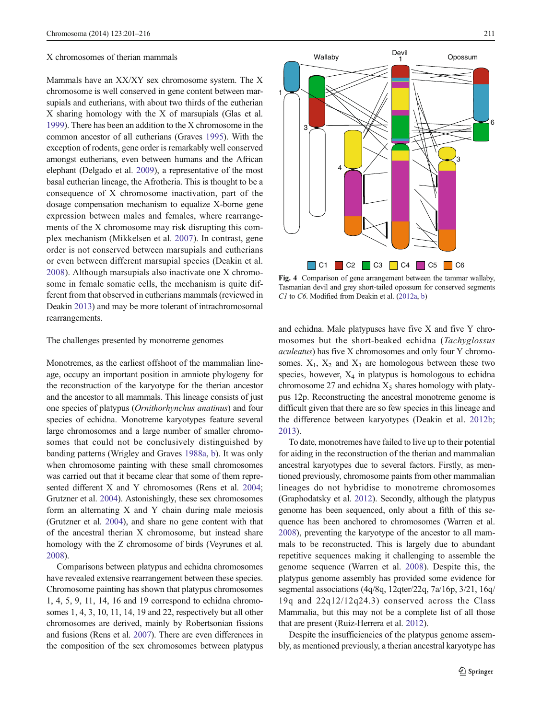#### <span id="page-10-0"></span>X chromosomes of therian mammals

Mammals have an XX/XY sex chromosome system. The X chromosome is well conserved in gene content between marsupials and eutherians, with about two thirds of the eutherian X sharing homology with the X of marsupials (Glas et al. [1999\)](#page-12-0). There has been an addition to the X chromosome in the common ancestor of all eutherians (Graves [1995\)](#page-12-0). With the exception of rodents, gene order is remarkably well conserved amongst eutherians, even between humans and the African elephant (Delgado et al. [2009](#page-12-0)), a representative of the most basal eutherian lineage, the Afrotheria. This is thought to be a consequence of X chromosome inactivation, part of the dosage compensation mechanism to equalize X-borne gene expression between males and females, where rearrangements of the X chromosome may risk disrupting this complex mechanism (Mikkelsen et al. [2007](#page-13-0)). In contrast, gene order is not conserved between marsupials and eutherians or even between different marsupial species (Deakin et al. [2008](#page-12-0)). Although marsupials also inactivate one X chromosome in female somatic cells, the mechanism is quite different from that observed in eutherians mammals (reviewed in Deakin [2013](#page-12-0)) and may be more tolerant of intrachromosomal rearrangements.

#### The challenges presented by monotreme genomes

Monotremes, as the earliest offshoot of the mammalian lineage, occupy an important position in amniote phylogeny for the reconstruction of the karyotype for the therian ancestor and the ancestor to all mammals. This lineage consists of just one species of platypus (Ornithorhynchus anatinus) and four species of echidna. Monotreme karyotypes feature several large chromosomes and a large number of smaller chromosomes that could not be conclusively distinguished by banding patterns (Wrigley and Graves [1988a,](#page-15-0) [b\)](#page-15-0). It was only when chromosome painting with these small chromosomes was carried out that it became clear that some of them represented different X and Y chromosomes (Rens et al. [2004](#page-14-0); Grutzner et al. [2004](#page-12-0)). Astonishingly, these sex chromosomes form an alternating X and Y chain during male meiosis (Grutzner et al. [2004](#page-12-0)), and share no gene content with that of the ancestral therian X chromosome, but instead share homology with the Z chromosome of birds (Veyrunes et al. [2008\)](#page-14-0).

Comparisons between platypus and echidna chromosomes have revealed extensive rearrangement between these species. Chromosome painting has shown that platypus chromosomes 1, 4, 5, 9, 11, 14, 16 and 19 correspond to echidna chromosomes 1, 4, 3, 10, 11, 14, 19 and 22, respectively but all other chromosomes are derived, mainly by Robertsonian fissions and fusions (Rens et al. [2007](#page-14-0)). There are even differences in the composition of the sex chromosomes between platypus



Fig. 4 Comparison of gene arrangement between the tammar wallaby, Tasmanian devil and grey short-tailed opossum for conserved segments C1 to C6. Modified from Deakin et al. [\(2012a](#page-12-0), [b\)](#page-12-0)

and echidna. Male platypuses have five X and five Y chromosomes but the short-beaked echidna (Tachyglossus aculeatus) has five X chromosomes and only four Y chromosomes.  $X_1$ ,  $X_2$  and  $X_3$  are homologous between these two species, however,  $X_4$  in platypus is homologous to echidna chromosome 27 and echidna  $X_5$  shares homology with platypus 12p. Reconstructing the ancestral monotreme genome is difficult given that there are so few species in this lineage and the difference between karyotypes (Deakin et al. [2012b;](#page-12-0) [2013\)](#page-12-0).

To date, monotremes have failed to live up to their potential for aiding in the reconstruction of the therian and mammalian ancestral karyotypes due to several factors. Firstly, as mentioned previously, chromosome paints from other mammalian lineages do not hybridise to monotreme chromosomes (Graphodatsky et al. [2012](#page-12-0)). Secondly, although the platypus genome has been sequenced, only about a fifth of this sequence has been anchored to chromosomes (Warren et al. [2008\)](#page-15-0), preventing the karyotype of the ancestor to all mammals to be reconstructed. This is largely due to abundant repetitive sequences making it challenging to assemble the genome sequence (Warren et al. [2008\)](#page-15-0). Despite this, the platypus genome assembly has provided some evidence for segmental associations (4q/8q, 12qter/22q, 7a/16p, 3/21, 16q/ 19q and 22q12/12q24.3) conserved across the Class Mammalia, but this may not be a complete list of all those that are present (Ruiz-Herrera et al. [2012\)](#page-14-0).

Despite the insufficiencies of the platypus genome assembly, as mentioned previously, a therian ancestral karyotype has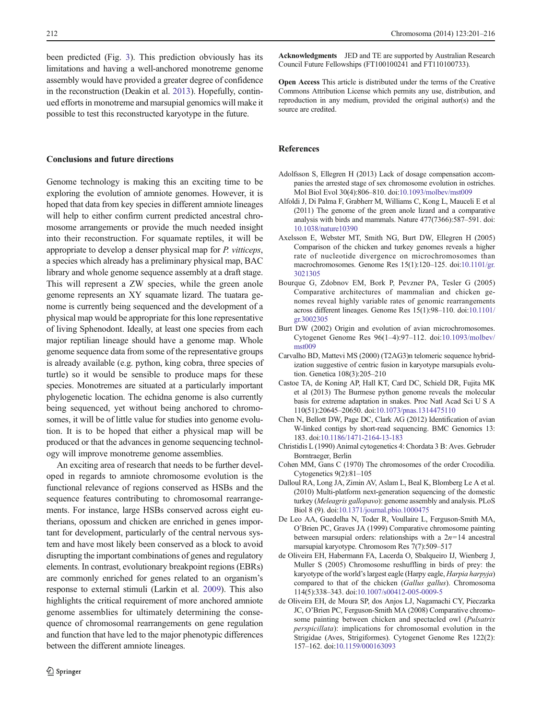<span id="page-11-0"></span>been predicted (Fig. [3](#page-9-0)). This prediction obviously has its limitations and having a well-anchored monotreme genome assembly would have provided a greater degree of confidence in the reconstruction (Deakin et al. [2013](#page-12-0)). Hopefully, continued efforts in monotreme and marsupial genomics will make it possible to test this reconstructed karyotype in the future.

#### Conclusions and future directions

Genome technology is making this an exciting time to be exploring the evolution of amniote genomes. However, it is hoped that data from key species in different amniote lineages will help to either confirm current predicted ancestral chromosome arrangements or provide the much needed insight into their reconstruction. For squamate reptiles, it will be appropriate to develop a denser physical map for P. vitticeps, a species which already has a preliminary physical map, BAC library and whole genome sequence assembly at a draft stage. This will represent a ZW species, while the green anole genome represents an XY squamate lizard. The tuatara genome is currently being sequenced and the development of a physical map would be appropriate for this lone representative of living Sphenodont. Ideally, at least one species from each major reptilian lineage should have a genome map. Whole genome sequence data from some of the representative groups is already available (e.g. python, king cobra, three species of turtle) so it would be sensible to produce maps for these species. Monotremes are situated at a particularly important phylogenetic location. The echidna genome is also currently being sequenced, yet without being anchored to chromosomes, it will be of little value for studies into genome evolution. It is to be hoped that either a physical map will be produced or that the advances in genome sequencing technology will improve monotreme genome assemblies.

An exciting area of research that needs to be further developed in regards to amniote chromosome evolution is the functional relevance of regions conserved as HSBs and the sequence features contributing to chromosomal rearrangements. For instance, large HSBs conserved across eight eutherians, opossum and chicken are enriched in genes important for development, particularly of the central nervous system and have most likely been conserved as a block to avoid disrupting the important combinations of genes and regulatory elements. In contrast, evolutionary breakpoint regions (EBRs) are commonly enriched for genes related to an organism's response to external stimuli (Larkin et al. [2009\)](#page-13-0). This also highlights the critical requirement of more anchored amniote genome assemblies for ultimately determining the consequence of chromosomal rearrangements on gene regulation and function that have led to the major phenotypic differences between the different amniote lineages.

Acknowledgments JED and TE are supported by Australian Research Council Future Fellowships (FT100100241 and FT110100733).

Open Access This article is distributed under the terms of the Creative Commons Attribution License which permits any use, distribution, and reproduction in any medium, provided the original author(s) and the source are credited.

#### References

- Adolfsson S, Ellegren H (2013) Lack of dosage compensation accompanies the arrested stage of sex chromosome evolution in ostriches. Mol Biol Evol 30(4):806–810. doi[:10.1093/molbev/mst009](http://dx.doi.org/10.1093/molbev/mst009)
- Alfoldi J, Di Palma F, Grabherr M, Williams C, Kong L, Mauceli E et al (2011) The genome of the green anole lizard and a comparative analysis with birds and mammals. Nature 477(7366):587–591. doi: [10.1038/nature10390](http://dx.doi.org/10.1038/nature10390)
- Axelsson E, Webster MT, Smith NG, Burt DW, Ellegren H (2005) Comparison of the chicken and turkey genomes reveals a higher rate of nucleotide divergence on microchromosomes than macrochromosomes. Genome Res 15(1):120–125. doi[:10.1101/gr.](http://dx.doi.org/10.1101/gr.3021305) [3021305](http://dx.doi.org/10.1101/gr.3021305)
- Bourque G, Zdobnov EM, Bork P, Pevzner PA, Tesler G (2005) Comparative architectures of mammalian and chicken genomes reveal highly variable rates of genomic rearrangements across different lineages. Genome Res 15(1):98–110. doi[:10.1101/](http://dx.doi.org/10.1101/gr.3002305) [gr.3002305](http://dx.doi.org/10.1101/gr.3002305)
- Burt DW (2002) Origin and evolution of avian microchromosomes. Cytogenet Genome Res 96(1–4):97–112. doi:[10.1093/molbev/](http://dx.doi.org/10.1093/molbev/mst009) [mst009](http://dx.doi.org/10.1093/molbev/mst009)
- Carvalho BD, Mattevi MS (2000) (T2AG3)n telomeric sequence hybridization suggestive of centric fusion in karyotype marsupials evolution. Genetica 108(3):205–210
- Castoe TA, de Koning AP, Hall KT, Card DC, Schield DR, Fujita MK et al (2013) The Burmese python genome reveals the molecular basis for extreme adaptation in snakes. Proc Natl Acad Sci U S A 110(51):20645–20650. doi[:10.1073/pnas.1314475110](http://dx.doi.org/10.1073/pnas.1314475110)
- Chen N, Bellott DW, Page DC, Clark AG (2012) Identification of avian W-linked contigs by short-read sequencing. BMC Genomics 13: 183. doi[:10.1186/1471-2164-13-183](http://dx.doi.org/10.1186/1471-2164-13-183)
- Christidis L (1990) Animal cytogenetics 4: Chordata 3 B: Aves. Gebruder Borntraeger, Berlin
- Cohen MM, Gans C (1970) The chromosomes of the order Crocodilia. Cytogenetics 9(2):81–105
- Dalloul RA, Long JA, Zimin AV, Aslam L, Beal K, Blomberg Le A et al. (2010) Multi-platform next-generation sequencing of the domestic turkey (Meleagris gallopavo): genome assembly and analysis. PLoS Biol 8 (9). doi[:10.1371/journal.pbio.1000475](http://dx.doi.org/10.1371/journal.pbio.1000475)
- De Leo AA, Guedelha N, Toder R, Voullaire L, Ferguson-Smith MA, O'Brien PC, Graves JA (1999) Comparative chromosome painting between marsupial orders: relationships with a  $2n=14$  ancestral marsupial karyotype. Chromosom Res 7(7):509–517
- de Oliveira EH, Habermann FA, Lacerda O, Sbalqueiro IJ, Wienberg J, Muller S (2005) Chromosome reshuffling in birds of prey: the karyotype of the world's largest eagle (Harpy eagle, Harpia harpyja) compared to that of the chicken (Gallus gallus). Chromosoma 114(5):338–343. doi:[10.1007/s00412-005-0009-5](http://dx.doi.org/10.1007/s00412-005-0009-5)
- de Oliveira EH, de Moura SP, dos Anjos LJ, Nagamachi CY, Pieczarka JC, O'Brien PC, Ferguson-Smith MA (2008) Comparative chromosome painting between chicken and spectacled owl (Pulsatrix perspicillata): implications for chromosomal evolution in the Strigidae (Aves, Strigiformes). Cytogenet Genome Res 122(2): 157–162. doi[:10.1159/000163093](http://dx.doi.org/10.1159/000163093)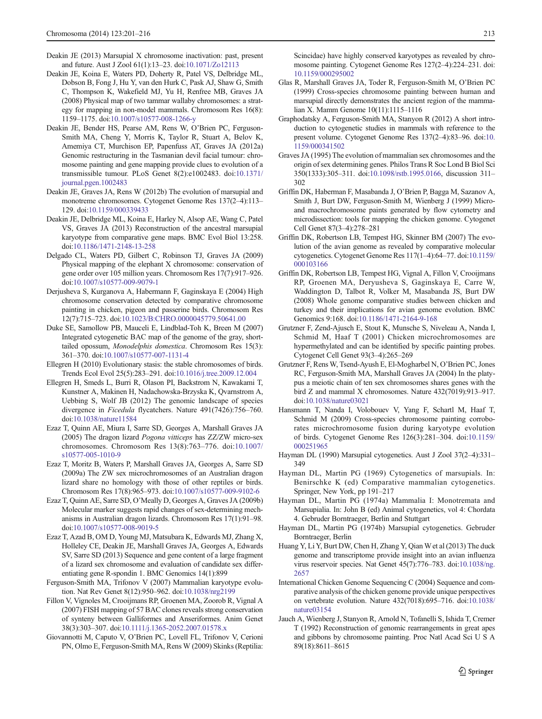- <span id="page-12-0"></span>Deakin JE (2013) Marsupial X chromosome inactivation: past, present and future. Aust J Zool 61(1):13–23. doi[:10.1071/Zo12113](http://dx.doi.org/10.1071/Zo12113)
- Deakin JE, Koina E, Waters PD, Doherty R, Patel VS, Delbridge ML, Dobson B, Fong J, Hu Y, van den Hurk C, Pask AJ, Shaw G, Smith C, Thompson K, Wakefield MJ, Yu H, Renfree MB, Graves JA (2008) Physical map of two tammar wallaby chromosomes: a strategy for mapping in non-model mammals. Chromosom Res 16(8): 1159–1175. doi:[10.1007/s10577-008-1266-y](http://dx.doi.org/10.1007/s10577-008-1266-y)
- Deakin JE, Bender HS, Pearse AM, Rens W, O'Brien PC, Ferguson-Smith MA, Cheng Y, Morris K, Taylor R, Stuart A, Belov K, Amemiya CT, Murchison EP, Papenfuss AT, Graves JA (2012a) Genomic restructuring in the Tasmanian devil facial tumour: chromosome painting and gene mapping provide clues to evolution of a transmissible tumour. PLoS Genet 8(2):e1002483. doi[:10.1371/](http://dx.doi.org/10.1371/journal.pgen.1002483) [journal.pgen.1002483](http://dx.doi.org/10.1371/journal.pgen.1002483)
- Deakin JE, Graves JA, Rens W (2012b) The evolution of marsupial and monotreme chromosomes. Cytogenet Genome Res 137(2–4):113– 129. doi[:10.1159/000339433](http://dx.doi.org/10.1159/000339433)
- Deakin JE, Delbridge ML, Koina E, Harley N, Alsop AE, Wang C, Patel VS, Graves JA (2013) Reconstruction of the ancestral marsupial karyotype from comparative gene maps. BMC Evol Biol 13:258. doi:[10.1186/1471-2148-13-258](http://dx.doi.org/10.1186/1471-2148-13-258)
- Delgado CL, Waters PD, Gilbert C, Robinson TJ, Graves JA (2009) Physical mapping of the elephant X chromosome: conservation of gene order over 105 million years. Chromosom Res 17(7):917–926. doi:[10.1007/s10577-009-9079-1](http://dx.doi.org/10.1007/s10577-009-9079-1)
- Derjusheva S, Kurganova A, Habermann F, Gaginskaya E (2004) High chromosome conservation detected by comparative chromosome painting in chicken, pigeon and passerine birds. Chromosom Res 12(7):715–723. doi:[10.1023/B:CHRO.0000045779.50641.00](http://dx.doi.org/10.1023/B:CHRO.0000045779.50641.00)
- Duke SE, Samollow PB, Mauceli E, Lindblad-Toh K, Breen M (2007) Integrated cytogenetic BAC map of the genome of the gray, shorttailed opossum, Monodelphis domestica. Chromosom Res 15(3): 361–370. doi[:10.1007/s10577-007-1131-4](http://dx.doi.org/10.1007/s10577-007-1131-4)
- Ellegren H (2010) Evolutionary stasis: the stable chromosomes of birds. Trends Ecol Evol 25(5):283–291. doi[:10.1016/j.tree.2009.12.004](http://dx.doi.org/10.1016/j.tree.2009.12.004)
- Ellegren H, Smeds L, Burri R, Olason PI, Backstrom N, Kawakami T, Kunstner A, Makinen H, Nadachowska-Brzyska K, Qvarnstrom A, Uebbing S, Wolf JB (2012) The genomic landscape of species divergence in Ficedula flycatchers. Nature 491(7426):756–760. doi:[10.1038/nature11584](http://dx.doi.org/10.1038/nature11584)
- Ezaz T, Quinn AE, Miura I, Sarre SD, Georges A, Marshall Graves JA (2005) The dragon lizard Pogona vitticeps has ZZ/ZW micro-sex chromosomes. Chromosom Res 13(8):763–776. doi[:10.1007/](http://dx.doi.org/10.1007/s10577-005-1010-9) [s10577-005-1010-9](http://dx.doi.org/10.1007/s10577-005-1010-9)
- Ezaz T, Moritz B, Waters P, Marshall Graves JA, Georges A, Sarre SD (2009a) The ZW sex microchromosomes of an Australian dragon lizard share no homology with those of other reptiles or birds. Chromosom Res 17(8):965–973. doi[:10.1007/s10577-009-9102-6](http://dx.doi.org/10.1007/s10577-009-9102-6)
- Ezaz T, Quinn AE, Sarre SD, O'Meally D, Georges A, Graves JA (2009b) Molecular marker suggests rapid changes of sex-determining mechanisms in Australian dragon lizards. Chromosom Res 17(1):91–98. doi:[10.1007/s10577-008-9019-5](http://dx.doi.org/10.1007/s10577-008-9019-5)
- Ezaz T, Azad B, OM D, Young MJ, Matsubara K, Edwards MJ, Zhang X, Holleley CE, Deakin JE, Marshall Graves JA, Georges A, Edwards SV, Sarre SD (2013) Sequence and gene content of a large fragment of a lizard sex chromosome and evaluation of candidate sex differentiating gene R-spondin 1. BMC Genomics 14(1):899
- Ferguson-Smith MA, Trifonov V (2007) Mammalian karyotype evolution. Nat Rev Genet 8(12):950–962. doi[:10.1038/nrg2199](http://dx.doi.org/10.1038/nrg2199)
- Fillon V, Vignoles M, Crooijmans RP, Groenen MA, Zoorob R, Vignal A (2007) FISH mapping of 57 BAC clones reveals strong conservation of synteny between Galliformes and Anseriformes. Anim Genet 38(3):303–307. doi:[10.1111/j.1365-2052.2007.01578.x](http://dx.doi.org/10.1111/j.1365-2052.2007.01578.x)
- Giovannotti M, Caputo V, O'Brien PC, Lovell FL, Trifonov V, Cerioni PN, Olmo E, Ferguson-Smith MA, Rens W (2009) Skinks (Reptilia:

Scincidae) have highly conserved karyotypes as revealed by chromosome painting. Cytogenet Genome Res 127(2–4):224–231. doi: [10.1159/000295002](http://dx.doi.org/10.1159/000295002)

- Glas R, Marshall Graves JA, Toder R, Ferguson-Smith M, O'Brien PC (1999) Cross-species chromosome painting between human and marsupial directly demonstrates the ancient region of the mammalian X. Mamm Genome 10(11):1115–1116
- Graphodatsky A, Ferguson-Smith MA, Stanyon R (2012) A short introduction to cytogenetic studies in mammals with reference to the present volume. Cytogenet Genome Res 137(2–4):83–96. doi[:10.](http://dx.doi.org/10.1159/000341502) [1159/000341502](http://dx.doi.org/10.1159/000341502)
- Graves JA (1995) The evolution of mammalian sex chromosomes and the origin of sex determining genes. Philos Trans R Soc Lond B Biol Sci 350(1333):305–311. doi[:10.1098/rstb.1995.0166,](http://dx.doi.org/10.1098/rstb.1995.0166) discussion 311– 302
- Griffin DK, Haberman F, Masabanda J, O'Brien P, Bagga M, Sazanov A, Smith J, Burt DW, Ferguson-Smith M, Wienberg J (1999) Microand macrochromosome paints generated by flow cytometry and microdissection: tools for mapping the chicken genome. Cytogenet Cell Genet 87(3–4):278–281
- Griffin DK, Robertson LB, Tempest HG, Skinner BM (2007) The evolution of the avian genome as revealed by comparative molecular cytogenetics. Cytogenet Genome Res 117(1–4):64–77. doi[:10.1159/](http://dx.doi.org/10.1159/000103166) [000103166](http://dx.doi.org/10.1159/000103166)
- Griffin DK, Robertson LB, Tempest HG, Vignal A, Fillon V, Crooijmans RP, Groenen MA, Deryusheva S, Gaginskaya E, Carre W, Waddington D, Talbot R, Volker M, Masabanda JS, Burt DW (2008) Whole genome comparative studies between chicken and turkey and their implications for avian genome evolution. BMC Genomics 9:168. doi[:10.1186/1471-2164-9-168](http://dx.doi.org/10.1186/1471-2164-9-168)
- Grutzner F, Zend-Ajusch E, Stout K, Munsche S, Niveleau A, Nanda I, Schmid M, Haaf T (2001) Chicken microchromosomes are hypermethylated and can be identified by specific painting probes. Cytogenet Cell Genet 93(3–4):265–269
- Grutzner F, Rens W, Tsend-Ayush E, El-Mogharbel N, O'Brien PC, Jones RC, Ferguson-Smith MA, Marshall Graves JA (2004) In the platypus a meiotic chain of ten sex chromosomes shares genes with the bird Z and mammal X chromosomes. Nature 432(7019):913–917. doi:[10.1038/nature03021](http://dx.doi.org/10.1038/nature03021)
- Hansmann T, Nanda I, Volobouev V, Yang F, Schartl M, Haaf T, Schmid M (2009) Cross-species chromosome painting corroborates microchromosome fusion during karyotype evolution of birds. Cytogenet Genome Res 126(3):281–304. doi:[10.1159/](http://dx.doi.org/10.1159/000251965) [000251965](http://dx.doi.org/10.1159/000251965)
- Hayman DL (1990) Marsupial cytogenetics. Aust J Zool 37(2–4):331– 349
- Hayman DL, Martin PG (1969) Cytogenetics of marsupials. In: Benirschke K (ed) Comparative mammalian cytogenetics. Springer, New York, pp 191–217
- Hayman DL, Martin PG (1974a) Mammalia I: Monotremata and Marsupialia. In: John B (ed) Animal cytogenetics, vol 4: Chordata 4. Gebruder Borntraeger, Berlin and Stuttgart
- Hayman DL, Martin PG (1974b) Marsupial cytogenetics. Gebruder Borntraeger, Berlin
- Huang Y, Li Y, Burt DW, Chen H, Zhang Y, Qian W et al (2013) The duck genome and transcriptome provide insight into an avian influenza virus reservoir species. Nat Genet 45(7):776–783. doi:[10.1038/ng.](http://dx.doi.org/10.1038/ng.2657) [2657](http://dx.doi.org/10.1038/ng.2657)
- International Chicken Genome Sequencing C (2004) Sequence and comparative analysis of the chicken genome provide unique perspectives on vertebrate evolution. Nature 432(7018):695–716. doi[:10.1038/](http://dx.doi.org/10.1038/nature03154) [nature03154](http://dx.doi.org/10.1038/nature03154)
- Jauch A, Wienberg J, Stanyon R, Arnold N, Tofanelli S, Ishida T, Cremer T (1992) Reconstruction of genomic rearrangements in great apes and gibbons by chromosome painting. Proc Natl Acad Sci U S A 89(18):8611–8615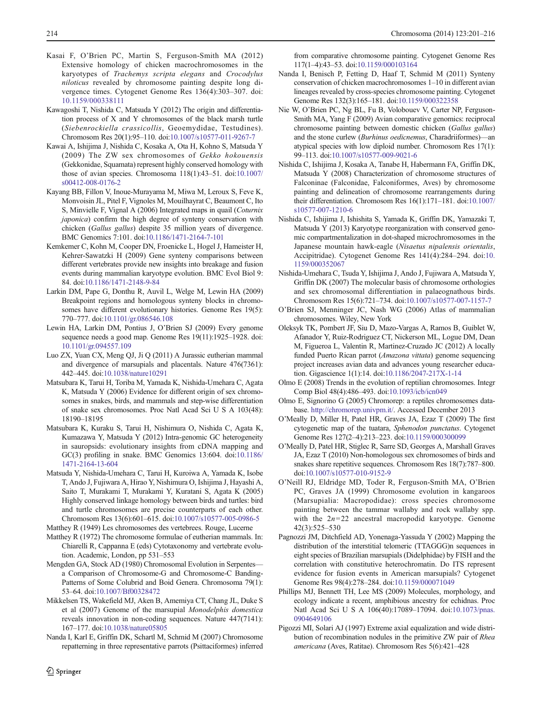- <span id="page-13-0"></span>Kasai F, O'Brien PC, Martin S, Ferguson-Smith MA (2012) Extensive homology of chicken macrochromosomes in the karyotypes of Trachemys scripta elegans and Crocodylus niloticus revealed by chromosome painting despite long divergence times. Cytogenet Genome Res 136(4):303–307. doi: [10.1159/000338111](http://dx.doi.org/10.1159/000338111)
- Kawagoshi T, Nishida C, Matsuda Y (2012) The origin and differentiation process of X and Y chromosomes of the black marsh turtle (Siebenrockiella crassicollis, Geoemydidae, Testudines). Chromosom Res 20(1):95–110. doi[:10.1007/s10577-011-9267-7](http://dx.doi.org/10.1007/s10577-011-9267-7)
- Kawai A, Ishijima J, Nishida C, Kosaka A, Ota H, Kohno S, Matsuda Y (2009) The ZW sex chromosomes of Gekko hokouensis (Gekkonidae, Squamata) represent highly conserved homology with those of avian species. Chromosoma 118(1):43–51. doi[:10.1007/](http://dx.doi.org/10.1007/s00412-008-0176-2) [s00412-008-0176-2](http://dx.doi.org/10.1007/s00412-008-0176-2)
- Kayang BB, Fillon V, Inoue-Murayama M, Miwa M, Leroux S, Feve K, Monvoisin JL, Pitel F, Vignoles M, Mouilhayrat C, Beaumont C, Ito S, Minvielle F, Vignal A (2006) Integrated maps in quail (Coturnix japonica) confirm the high degree of synteny conservation with chicken (Gallus gallus) despite 35 million years of divergence. BMC Genomics 7:101. doi[:10.1186/1471-2164-7-101](http://dx.doi.org/10.1186/1471-2164-7-101)
- Kemkemer C, Kohn M, Cooper DN, Froenicke L, Hogel J, Hameister H, Kehrer-Sawatzki H (2009) Gene synteny comparisons between different vertebrates provide new insights into breakage and fusion events during mammalian karyotype evolution. BMC Evol Biol 9: 84. doi[:10.1186/1471-2148-9-84](http://dx.doi.org/10.1186/1471-2148-9-84)
- Larkin DM, Pape G, Donthu R, Auvil L, Welge M, Lewin HA (2009) Breakpoint regions and homologous synteny blocks in chromosomes have different evolutionary histories. Genome Res 19(5): 770–777. doi[:10.1101/gr.086546.108](http://dx.doi.org/10.1101/gr.086546.108)
- Lewin HA, Larkin DM, Pontius J, O'Brien SJ (2009) Every genome sequence needs a good map. Genome Res 19(11):1925–1928. doi: [10.1101/gr.094557.109](http://dx.doi.org/10.1101/gr.094557.109)
- Luo ZX, Yuan CX, Meng QJ, Ji Q (2011) A Jurassic eutherian mammal and divergence of marsupials and placentals. Nature 476(7361): 442–445. doi[:10.1038/nature10291](http://dx.doi.org/10.1038/nature10291)
- Matsubara K, Tarui H, Toriba M, Yamada K, Nishida-Umehara C, Agata K, Matsuda Y (2006) Evidence for different origin of sex chromosomes in snakes, birds, and mammals and step-wise differentiation of snake sex chromosomes. Proc Natl Acad Sci U S A 103(48): 18190–18195
- Matsubara K, Kuraku S, Tarui H, Nishimura O, Nishida C, Agata K, Kumazawa Y, Matsuda Y (2012) Intra-genomic GC heterogeneity in sauropsids: evolutionary insights from cDNA mapping and GC(3) profiling in snake. BMC Genomics 13:604. doi[:10.1186/](http://dx.doi.org/10.1186/1471-2164-13-604) [1471-2164-13-604](http://dx.doi.org/10.1186/1471-2164-13-604)
- Matsuda Y, Nishida-Umehara C, Tarui H, Kuroiwa A, Yamada K, Isobe T, Ando J, Fujiwara A, Hirao Y, Nishimura O, Ishijima J, Hayashi A, Saito T, Murakami T, Murakami Y, Kuratani S, Agata K (2005) Highly conserved linkage homology between birds and turtles: bird and turtle chromosomes are precise counterparts of each other. Chromosom Res 13(6):601–615. doi[:10.1007/s10577-005-0986-5](http://dx.doi.org/10.1007/s10577-005-0986-5)
- Matthey R (1949) Les chromosomes des vertebrees. Rouge, Lucerne
- Matthey R (1972) The chromosome formulae of eutherian mammals. In: Chiarelli R, Cappanna E (eds) Cytotaxonomy and vertebrate evolution. Academic, London, pp 531–553
- Mengden GA, Stock AD (1980) Chromosomal Evolution in Serpentes a Comparison of Chromosome-G and Chromosome-C Banding-Patterns of Some Colubrid and Boid Genera. Chromosoma 79(1): 53–64. doi:[10.1007/Bf00328472](http://dx.doi.org/10.1007/Bf00328472)
- Mikkelsen TS, Wakefield MJ, Aken B, Amemiya CT, Chang JL, Duke S et al (2007) Genome of the marsupial Monodelphis domestica reveals innovation in non-coding sequences. Nature 447(7141): 167–177. doi[:10.1038/nature05805](http://dx.doi.org/10.1038/nature05805)
- Nanda I, Karl E, Griffin DK, Schartl M, Schmid M (2007) Chromosome repatterning in three representative parrots (Psittaciformes) inferred

from comparative chromosome painting. Cytogenet Genome Res 117(1–4):43–53. doi:[10.1159/000103164](http://dx.doi.org/10.1159/000103164)

- Nanda I, Benisch P, Fetting D, Haaf T, Schmid M (2011) Synteny conservation of chicken macrochromosomes 1–10 in different avian lineages revealed by cross-species chromosome painting. Cytogenet Genome Res 132(3):165–181. doi:[10.1159/000322358](http://dx.doi.org/10.1159/000322358)
- Nie W, O'Brien PC, Ng BL, Fu B, Volobouev V, Carter NP, Ferguson-Smith MA, Yang F (2009) Avian comparative genomics: reciprocal chromosome painting between domestic chicken (Gallus gallus) and the stone curlew (Burhinus oedicnemus, Charadriiformes)—an atypical species with low diploid number. Chromosom Res 17(1): 99–113. doi:[10.1007/s10577-009-9021-6](http://dx.doi.org/10.1007/s10577-009-9021-6)
- Nishida C, Ishijima J, Kosaka A, Tanabe H, Habermann FA, Griffin DK, Matsuda Y (2008) Characterization of chromosome structures of Falconinae (Falconidae, Falconiformes, Aves) by chromosome painting and delineation of chromosome rearrangements during their differentiation. Chromosom Res 16(1):171–181. doi[:10.1007/](http://dx.doi.org/10.1007/s10577-007-1210-6) [s10577-007-1210-6](http://dx.doi.org/10.1007/s10577-007-1210-6)
- Nishida C, Ishijima J, Ishishita S, Yamada K, Griffin DK, Yamazaki T, Matsuda Y (2013) Karyotype reorganization with conserved genomic compartmentalization in dot-shaped microchromosomes in the Japanese mountain hawk-eagle (Nisaetus nipalensis orientalis, Accipitridae). Cytogenet Genome Res 141(4):284–294. doi:[10.](http://dx.doi.org/10.1159/000352067) [1159/000352067](http://dx.doi.org/10.1159/000352067)
- Nishida-Umehara C, Tsuda Y, Ishijima J, Ando J, Fujiwara A, Matsuda Y, Griffin DK (2007) The molecular basis of chromosome orthologies and sex chromosomal differentiation in palaeognathous birds. Chromosom Res 15(6):721–734. doi:[10.1007/s10577-007-1157-7](http://dx.doi.org/10.1007/s10577-007-1157-7)
- O'Brien SJ, Menninger JC, Nash WG (2006) Atlas of mammalian chromosomes. Wiley, New York
- Oleksyk TK, Pombert JF, Siu D, Mazo-Vargas A, Ramos B, Guiblet W, Afanador Y, Ruiz-Rodriguez CT, Nickerson ML, Logue DM, Dean M, Figueroa L, Valentin R, Martinez-Cruzado JC (2012) A locally funded Puerto Rican parrot (Amazona vittata) genome sequencing project increases avian data and advances young researcher education. Gigascience 1(1):14. doi[:10.1186/2047-217X-1-14](http://dx.doi.org/10.1186/2047-217X-1-14)
- Olmo E (2008) Trends in the evolution of reptilian chromosomes. Integr Comp Biol 48(4):486–493. doi:[10.1093/icb/icn049](http://dx.doi.org/10.1093/icb/icn049)
- Olmo E, Signorino G (2005) Chromorep: a reptiles chromosomes database. <http://chromorep.univpm.it/>. Accessed December 2013
- O'Meally D, Miller H, Patel HR, Graves JA, Ezaz T (2009) The first cytogenetic map of the tuatara, Sphenodon punctatus. Cytogenet Genome Res 127(2–4):213–223. doi[:10.1159/000300099](http://dx.doi.org/10.1159/000300099)
- O'Meally D, Patel HR, Stiglec R, Sarre SD, Georges A, Marshall Graves JA, Ezaz T (2010) Non-homologous sex chromosomes of birds and snakes share repetitive sequences. Chromosom Res 18(7):787–800. doi:[10.1007/s10577-010-9152-9](http://dx.doi.org/10.1007/s10577-010-9152-9)
- O'Neill RJ, Eldridge MD, Toder R, Ferguson-Smith MA, O'Brien PC, Graves JA (1999) Chromosome evolution in kangaroos (Marsupialia: Macropodidae): cross species chromosome painting between the tammar wallaby and rock wallaby spp. with the  $2n=22$  ancestral macropodid karyotype. Genome 42(3):525–530
- Pagnozzi JM, Ditchfield AD, Yonenaga-Yassuda Y (2002) Mapping the distribution of the interstitial telomeric (TTAGGG)n sequences in eight species of Brazilian marsupials (Didelphidae) by FISH and the correlation with constitutive heterochromatin. Do ITS represent evidence for fusion events in American marsupials? Cytogenet Genome Res 98(4):278–284. doi:[10.1159/000071049](http://dx.doi.org/10.1159/000071049)
- Phillips MJ, Bennett TH, Lee MS (2009) Molecules, morphology, and ecology indicate a recent, amphibious ancestry for echidnas. Proc Natl Acad Sci U S A 106(40):17089–17094. doi[:10.1073/pnas.](http://dx.doi.org/10.1073/pnas.0904649106) [0904649106](http://dx.doi.org/10.1073/pnas.0904649106)
- Pigozzi MI, Solari AJ (1997) Extreme axial equalization and wide distribution of recombination nodules in the primitive ZW pair of Rhea americana (Aves, Ratitae). Chromosom Res 5(6):421–428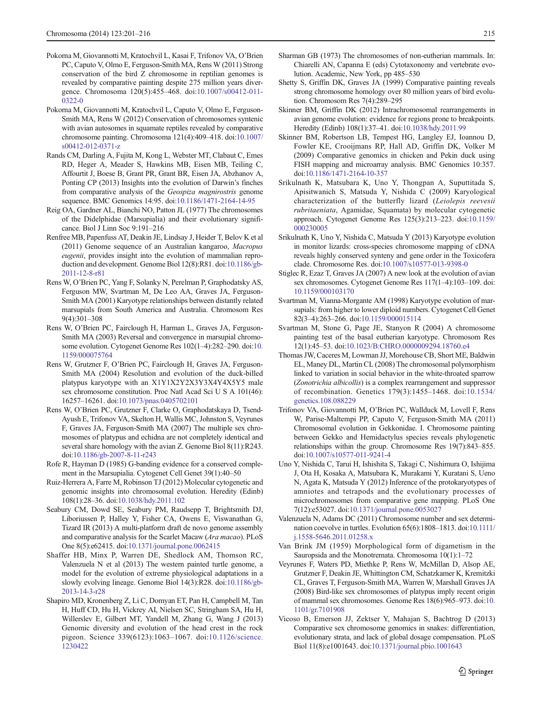- <span id="page-14-0"></span>Pokorna M, Giovannotti M, Kratochvil L, Kasai F, Trifonov VA, O'Brien PC, Caputo V, Olmo E, Ferguson-Smith MA, Rens W (2011) Strong conservation of the bird Z chromosome in reptilian genomes is revealed by comparative painting despite 275 million years divergence. Chromosoma 120(5):455–468. doi:[10.1007/s00412-011-](http://dx.doi.org/10.1007/s00412-011-0322-0) [0322-0](http://dx.doi.org/10.1007/s00412-011-0322-0)
- Pokorna M, Giovannotti M, Kratochvil L, Caputo V, Olmo E, Ferguson-Smith MA, Rens W (2012) Conservation of chromosomes syntenic with avian autosomes in squamate reptiles revealed by comparative chromosome painting. Chromosoma 121(4):409–418. doi[:10.1007/](http://dx.doi.org/10.1007/s00412-012-0371-z) [s00412-012-0371-z](http://dx.doi.org/10.1007/s00412-012-0371-z)
- Rands CM, Darling A, Fujita M, Kong L, Webster MT, Clabaut C, Emes RD, Heger A, Meader S, Hawkins MB, Eisen MB, Teiling C, Affourtit J, Boese B, Grant PR, Grant BR, Eisen JA, Abzhanov A, Ponting CP (2013) Insights into the evolution of Darwin's finches from comparative analysis of the Geospiza magnirostris genome sequence. BMC Genomics 14:95. doi[:10.1186/1471-2164-14-95](http://dx.doi.org/10.1186/1471-2164-14-95)
- Reig OA, Gardner AL, Bianchi NO, Patton JL (1977) The chromosomes of the Didelphidae (Marsupialia) and their evolutionary significance. Biol J Linn Soc 9:191–216
- Renfree MB, Papenfuss AT, Deakin JE, Lindsay J, Heider T, Belov K et al (2011) Genome sequence of an Australian kangaroo, Macropus eugenii, provides insight into the evolution of mammalian reproduction and development. Genome Biol 12(8):R81. doi[:10.1186/gb-](http://dx.doi.org/10.1186/gb-2011-12-8-r81)[2011-12-8-r81](http://dx.doi.org/10.1186/gb-2011-12-8-r81)
- Rens W, O'Brien PC, Yang F, Solanky N, Perelman P, Graphodatsky AS, Ferguson MW, Svartman M, De Leo AA, Graves JA, Ferguson-Smith MA (2001) Karyotype relationships between distantly related marsupials from South America and Australia. Chromosom Res 9(4):301–308
- Rens W, O'Brien PC, Fairclough H, Harman L, Graves JA, Ferguson-Smith MA (2003) Reversal and convergence in marsupial chromosome evolution. Cytogenet Genome Res 102(1–4):282–290. doi:[10.](http://dx.doi.org/10.1159/000075764) [1159/000075764](http://dx.doi.org/10.1159/000075764)
- Rens W, Grutzner F, O'Brien PC, Fairclough H, Graves JA, Ferguson-Smith MA (2004) Resolution and evolution of the duck-billed platypus karyotype with an X1Y1X2Y2X3Y3X4Y4X5Y5 male sex chromosome constitution. Proc Natl Acad Sci U S A 101(46): 16257–16261. doi[:10.1073/pnas.0405702101](http://dx.doi.org/10.1073/pnas.0405702101)
- Rens W, O'Brien PC, Grutzner F, Clarke O, Graphodatskaya D, Tsend-Ayush E, Trifonov VA, Skelton H, Wallis MC, Johnston S, Veyrunes F, Graves JA, Ferguson-Smith MA (2007) The multiple sex chromosomes of platypus and echidna are not completely identical and several share homology with the avian Z. Genome Biol 8(11):R243. doi:[10.1186/gb-2007-8-11-r243](http://dx.doi.org/10.1186/gb-2007-8-11-r243)
- Rofe R, Hayman D (1985) G-banding evidence for a conserved complement in the Marsupialia. Cytogenet Cell Genet 39(1):40–50
- Ruiz-Herrera A, Farre M, Robinson TJ (2012) Molecular cytogenetic and genomic insights into chromosomal evolution. Heredity (Edinb) 108(1):28–36. doi:[10.1038/hdy.2011.102](http://dx.doi.org/10.1038/hdy.2011.102)
- Seabury CM, Dowd SE, Seabury PM, Raudsepp T, Brightsmith DJ, Liboriussen P, Halley Y, Fisher CA, Owens E, Viswanathan G, Tizard IR (2013) A multi-platform draft de novo genome assembly and comparative analysis for the Scarlet Macaw (Ara macao). PLoS One 8(5):e62415. doi[:10.1371/journal.pone.0062415](http://dx.doi.org/10.1371/journal.pone.0062415)
- Shaffer HB, Minx P, Warren DE, Shedlock AM, Thomson RC, Valenzuela N et al (2013) The western painted turtle genome, a model for the evolution of extreme physiological adaptations in a slowly evolving lineage. Genome Biol 14(3):R28. doi[:10.1186/gb-](http://dx.doi.org/10.1186/gb-2013-14-3-r28)[2013-14-3-r28](http://dx.doi.org/10.1186/gb-2013-14-3-r28)
- Shapiro MD, Kronenberg Z, Li C, Domyan ET, Pan H, Campbell M, Tan H, Huff CD, Hu H, Vickrey AI, Nielsen SC, Stringham SA, Hu H, Willerslev E, Gilbert MT, Yandell M, Zhang G, Wang J (2013) Genomic diversity and evolution of the head crest in the rock pigeon. Science 339(6123):1063–1067. doi:[10.1126/science.](http://dx.doi.org/10.1126/science.1230422) [1230422](http://dx.doi.org/10.1126/science.1230422)
- Sharman GB (1973) The chromosomes of non-eutherian mammals. In: Chiarelli AN, Capanna E (eds) Cytotaxonomy and vertebrate evolution. Academic, New York, pp 485–530
- Shetty S, Griffin DK, Graves JA (1999) Comparative painting reveals strong chromosome homology over 80 million years of bird evolution. Chromosom Res 7(4):289–295
- Skinner BM, Griffin DK (2012) Intrachromosomal rearrangements in avian genome evolution: evidence for regions prone to breakpoints. Heredity (Edinb) 108(1):37–41. doi:[10.1038/hdy.2011.99](http://dx.doi.org/10.1038/hdy.2011.99)
- Skinner BM, Robertson LB, Tempest HG, Langley EJ, Ioannou D, Fowler KE, Crooijmans RP, Hall AD, Griffin DK, Volker M (2009) Comparative genomics in chicken and Pekin duck using FISH mapping and microarray analysis. BMC Genomics 10:357. doi:[10.1186/1471-2164-10-357](http://dx.doi.org/10.1186/1471-2164-10-357)
- Srikulnath K, Matsubara K, Uno Y, Thongpan A, Suputtitada S, Apisitwanich S, Matsuda Y, Nishida C (2009) Karyological characterization of the butterfly lizard (Leiolepis reevesii rubritaeniata, Agamidae, Squamata) by molecular cytogenetic approach. Cytogenet Genome Res 125(3):213–223. doi[:10.1159/](http://dx.doi.org/10.1159/000230005) [000230005](http://dx.doi.org/10.1159/000230005)
- Srikulnath K, Uno Y, Nishida C, Matsuda Y (2013) Karyotype evolution in monitor lizards: cross-species chromosome mapping of cDNA reveals highly conserved synteny and gene order in the Toxicofera clade. Chromosome Res. doi[:10.1007/s10577-013-9398-0](http://dx.doi.org/10.1007/s10577-013-9398-0)
- Stiglec R, Ezaz T, Graves JA (2007) A new look at the evolution of avian sex chromosomes. Cytogenet Genome Res 117(1–4):103–109. doi: [10.1159/000103170](http://dx.doi.org/10.1159/000103170)
- Svartman M, Vianna-Morgante AM (1998) Karyotype evolution of marsupials: from higher to lower diploid numbers. Cytogenet Cell Genet 82(3–4):263–266. doi[:10.1159/000015114](http://dx.doi.org/10.1159/000015114)
- Svartman M, Stone G, Page JE, Stanyon R (2004) A chromosome painting test of the basal eutherian karyotype. Chromosom Res 12(1):45–53. doi:[10.1023/B:CHRO.0000009294.18760.e4](http://dx.doi.org/10.1023/B:CHRO.0000009294.18760.e4)
- Thomas JW, Caceres M, Lowman JJ, Morehouse CB, Short ME, Baldwin EL, Maney DL, Martin CL (2008) The chromosomal polymorphism linked to variation in social behavior in the white-throated sparrow (Zonotrichia albicollis) is a complex rearrangement and suppressor of recombination. Genetics 179(3):1455–1468. doi:[10.1534/](http://dx.doi.org/10.1534/genetics.108.088229) [genetics.108.088229](http://dx.doi.org/10.1534/genetics.108.088229)
- Trifonov VA, Giovannotti M, O'Brien PC, Wallduck M, Lovell F, Rens W, Parise-Maltempi PP, Caputo V, Ferguson-Smith MA (2011) Chromosomal evolution in Gekkonidae. I. Chromosome painting between Gekko and Hemidactylus species reveals phylogenetic relationships within the group. Chromosome Res 19(7):843–855. doi:[10.1007/s10577-011-9241-4](http://dx.doi.org/10.1007/s10577-011-9241-4)
- Uno Y, Nishida C, Tarui H, Ishishita S, Takagi C, Nishimura O, Ishijima J, Ota H, Kosaka A, Matsubara K, Murakami Y, Kuratani S, Ueno N, Agata K, Matsuda Y (2012) Inference of the protokaryotypes of amniotes and tetrapods and the evolutionary processes of microchromosomes from comparative gene mapping. PLoS One 7(12):e53027. doi[:10.1371/journal.pone.0053027](http://dx.doi.org/10.1371/journal.pone.0053027)
- Valenzuela N, Adams DC (2011) Chromosome number and sex determination coevolve in turtles. Evolution 65(6):1808–1813. doi[:10.1111/](http://dx.doi.org/10.1111/j.1558-5646.2011.01258.x) [j.1558-5646.2011.01258.x](http://dx.doi.org/10.1111/j.1558-5646.2011.01258.x)
- Van Brink JM (1959) Morphological form of digametism in the Sauropsida and the Monotremata. Chromosoma 10(1):1–72
- Veyrunes F, Waters PD, Miethke P, Rens W, McMillan D, Alsop AE, Grutzner F, Deakin JE, Whittington CM, Schatzkamer K, Kremitzki CL, Graves T, Ferguson-Smith MA, Warren W, Marshall Graves JA (2008) Bird-like sex chromosomes of platypus imply recent origin of mammal sex chromosomes. Genome Res 18(6):965–973. doi[:10.](http://dx.doi.org/10.1101/gr.7101908) [1101/gr.7101908](http://dx.doi.org/10.1101/gr.7101908)
- Vicoso B, Emerson JJ, Zektser Y, Mahajan S, Bachtrog D (2013) Comparative sex chromosome genomics in snakes: differentiation, evolutionary strata, and lack of global dosage compensation. PLoS Biol 11(8):e1001643. doi:[10.1371/journal.pbio.1001643](http://dx.doi.org/10.1371/journal.pbio.1001643)